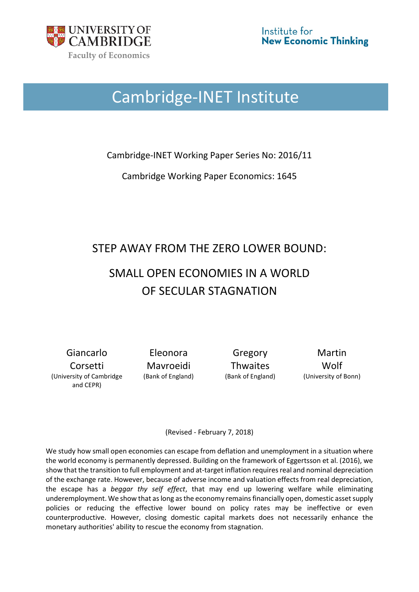

# Cambridge-INET Institute

Cambridge-INET Working Paper Series No: 2016/11

Cambridge Working Paper Economics: 1645

## STEP AWAY FROM THE ZERO LOWER BOUND:

## SMALL OPEN ECONOMIES IN A WORLD OF SECULAR STAGNATION

Giancarlo Corsetti (University of Cambridge and CEPR)

Eleonora Mavroeidi

Gregory **Thwaites** 

Martin Wolf (Bank of England) (Bank of England) (University of Bonn)

(Revised - February 7, 2018)

We study how small open economies can escape from deflation and unemployment in a situation where the world economy is permanently depressed. Building on the framework of Eggertsson et al. (2016), we show that the transition to full employment and at-target inflation requires real and nominal depreciation of the exchange rate. However, because of adverse income and valuation effects from real depreciation, the escape has a *beggar thy self effect*, that may end up lowering welfare while eliminating underemployment. We show that as long as the economy remains financially open, domestic asset supply policies or reducing the effective lower bound on policy rates may be ineffective or even counterproductive. However, closing domestic capital markets does not necessarily enhance the monetary authorities' ability to rescue the economy from stagnation.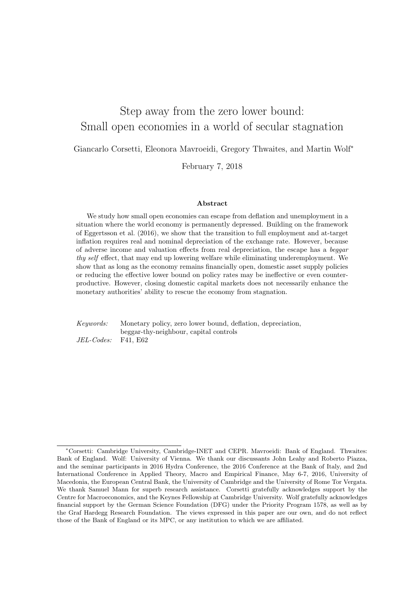## Step away from the zero lower bound: Small open economies in a world of secular stagnation

Giancarlo Corsetti, Eleonora Mavroeidi, Gregory Thwaites, and Martin Wolf<sup>∗</sup>

February 7, 2018

#### Abstract

We study how small open economies can escape from deflation and unemployment in a situation where the world economy is permanently depressed. Building on the framework of Eggertsson et al. (2016), we show that the transition to full employment and at-target inflation requires real and nominal depreciation of the exchange rate. However, because of adverse income and valuation effects from real depreciation, the escape has a beggar thy self effect, that may end up lowering welfare while eliminating underemployment. We show that as long as the economy remains financially open, domestic asset supply policies or reducing the effective lower bound on policy rates may be ineffective or even counterproductive. However, closing domestic capital markets does not necessarily enhance the monetary authorities' ability to rescue the economy from stagnation.

Keywords: Monetary policy, zero lower bound, deflation, depreciation, beggar-thy-neighbour, capital controls JEL-Codes: F41, E62

<sup>∗</sup>Corsetti: Cambridge University, Cambridge-INET and CEPR. Mavroeidi: Bank of England. Thwaites: Bank of England. Wolf: University of Vienna. We thank our discussants John Leahy and Roberto Piazza, and the seminar participants in 2016 Hydra Conference, the 2016 Conference at the Bank of Italy, and 2nd International Conference in Applied Theory, Macro and Empirical Finance, May 6-7, 2016, University of Macedonia, the European Central Bank, the University of Cambridge and the University of Rome Tor Vergata. We thank Samuel Mann for superb research assistance. Corsetti gratefully acknowledges support by the Centre for Macroeconomics, and the Keynes Fellowship at Cambridge University. Wolf gratefully acknowledges financial support by the German Science Foundation (DFG) under the Priority Program 1578, as well as by the Graf Hardegg Research Foundation. The views expressed in this paper are our own, and do not reflect those of the Bank of England or its MPC, or any institution to which we are affiliated.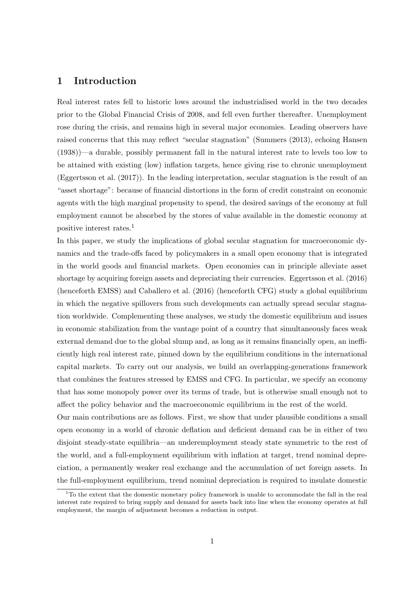## 1 Introduction

Real interest rates fell to historic lows around the industrialised world in the two decades prior to the Global Financial Crisis of 2008, and fell even further thereafter. Unemployment rose during the crisis, and remains high in several major economies. Leading observers have raised concerns that this may reflect "secular stagnation" (Summers (2013), echoing Hansen (1938))—a durable, possibly permanent fall in the natural interest rate to levels too low to be attained with existing (low) inflation targets, hence giving rise to chronic unemployment (Eggertsson et al. (2017)). In the leading interpretation, secular stagnation is the result of an "asset shortage": because of financial distortions in the form of credit constraint on economic agents with the high marginal propensity to spend, the desired savings of the economy at full employment cannot be absorbed by the stores of value available in the domestic economy at positive interest rates.<sup>1</sup>

In this paper, we study the implications of global secular stagnation for macroeconomic dynamics and the trade-offs faced by policymakers in a small open economy that is integrated in the world goods and financial markets. Open economies can in principle alleviate asset shortage by acquiring foreign assets and depreciating their currencies. Eggertsson et al. (2016) (henceforth EMSS) and Caballero et al. (2016) (henceforth CFG) study a global equilibrium in which the negative spillovers from such developments can actually spread secular stagnation worldwide. Complementing these analyses, we study the domestic equilibrium and issues in economic stabilization from the vantage point of a country that simultaneously faces weak external demand due to the global slump and, as long as it remains financially open, an inefficiently high real interest rate, pinned down by the equilibrium conditions in the international capital markets. To carry out our analysis, we build an overlapping-generations framework that combines the features stressed by EMSS and CFG. In particular, we specify an economy that has some monopoly power over its terms of trade, but is otherwise small enough not to affect the policy behavior and the macroeconomic equilibrium in the rest of the world.

Our main contributions are as follows. First, we show that under plausible conditions a small open economy in a world of chronic deflation and deficient demand can be in either of two disjoint steady-state equilibria—an underemployment steady state symmetric to the rest of the world, and a full-employment equilibrium with inflation at target, trend nominal depreciation, a permanently weaker real exchange and the accumulation of net foreign assets. In the full-employment equilibrium, trend nominal depreciation is required to insulate domestic

 $1^1$ To the extent that the domestic monetary policy framework is unable to accommodate the fall in the real interest rate required to bring supply and demand for assets back into line when the economy operates at full employment, the margin of adjustment becomes a reduction in output.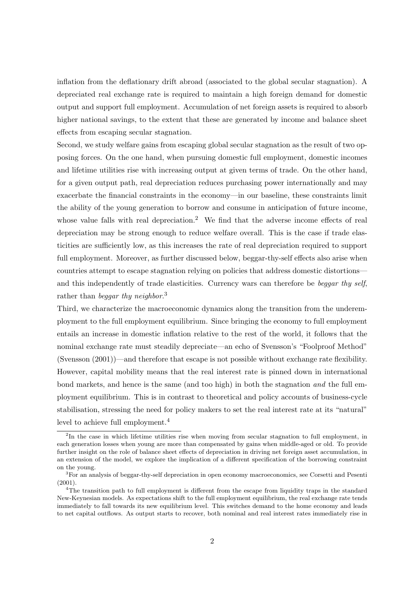inflation from the deflationary drift abroad (associated to the global secular stagnation). A depreciated real exchange rate is required to maintain a high foreign demand for domestic output and support full employment. Accumulation of net foreign assets is required to absorb higher national savings, to the extent that these are generated by income and balance sheet effects from escaping secular stagnation.

Second, we study welfare gains from escaping global secular stagnation as the result of two opposing forces. On the one hand, when pursuing domestic full employment, domestic incomes and lifetime utilities rise with increasing output at given terms of trade. On the other hand, for a given output path, real depreciation reduces purchasing power internationally and may exacerbate the financial constraints in the economy—in our baseline, these constraints limit the ability of the young generation to borrow and consume in anticipation of future income, whose value falls with real depreciation.<sup>2</sup> We find that the adverse income effects of real depreciation may be strong enough to reduce welfare overall. This is the case if trade elasticities are sufficiently low, as this increases the rate of real depreciation required to support full employment. Moreover, as further discussed below, beggar-thy-self effects also arise when countries attempt to escape stagnation relying on policies that address domestic distortions and this independently of trade elasticities. Currency wars can therefore be beggar thy self, rather than *beggar thy neighbor*.<sup>3</sup>

Third, we characterize the macroeconomic dynamics along the transition from the underemployment to the full employment equilibrium. Since bringing the economy to full employment entails an increase in domestic inflation relative to the rest of the world, it follows that the nominal exchange rate must steadily depreciate—an echo of Svensson's "Foolproof Method" (Svensson (2001))—and therefore that escape is not possible without exchange rate flexibility. However, capital mobility means that the real interest rate is pinned down in international bond markets, and hence is the same (and too high) in both the stagnation and the full employment equilibrium. This is in contrast to theoretical and policy accounts of business-cycle stabilisation, stressing the need for policy makers to set the real interest rate at its "natural" level to achieve full employment.<sup>4</sup>

<sup>&</sup>lt;sup>2</sup>In the case in which lifetime utilities rise when moving from secular stagnation to full employment, in each generation losses when young are more than compensated by gains when middle-aged or old. To provide further insight on the role of balance sheet effects of depreciation in driving net foreign asset accumulation, in an extension of the model, we explore the implication of a different specification of the borrowing constraint on the young.

<sup>3</sup>For an analysis of beggar-thy-self depreciation in open economy macroeconomics, see Corsetti and Pesenti (2001).

<sup>4</sup>The transition path to full employment is different from the escape from liquidity traps in the standard New-Keynesian models. As expectations shift to the full employment equilibrium, the real exchange rate tends immediately to fall towards its new equilibrium level. This switches demand to the home economy and leads to net capital outflows. As output starts to recover, both nominal and real interest rates immediately rise in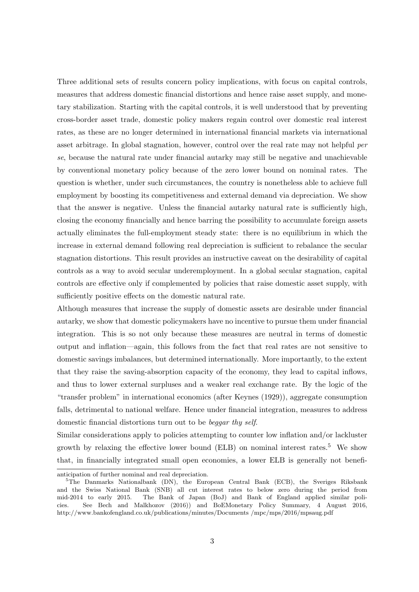Three additional sets of results concern policy implications, with focus on capital controls, measures that address domestic financial distortions and hence raise asset supply, and monetary stabilization. Starting with the capital controls, it is well understood that by preventing cross-border asset trade, domestic policy makers regain control over domestic real interest rates, as these are no longer determined in international financial markets via international asset arbitrage. In global stagnation, however, control over the real rate may not helpful per se, because the natural rate under financial autarky may still be negative and unachievable by conventional monetary policy because of the zero lower bound on nominal rates. The question is whether, under such circumstances, the country is nonetheless able to achieve full employment by boosting its competitiveness and external demand via depreciation. We show that the answer is negative. Unless the financial autarky natural rate is sufficiently high, closing the economy financially and hence barring the possibility to accumulate foreign assets actually eliminates the full-employment steady state: there is no equilibrium in which the increase in external demand following real depreciation is sufficient to rebalance the secular stagnation distortions. This result provides an instructive caveat on the desirability of capital controls as a way to avoid secular underemployment. In a global secular stagnation, capital controls are effective only if complemented by policies that raise domestic asset supply, with sufficiently positive effects on the domestic natural rate.

Although measures that increase the supply of domestic assets are desirable under financial autarky, we show that domestic policymakers have no incentive to pursue them under financial integration. This is so not only because these measures are neutral in terms of domestic output and inflation—again, this follows from the fact that real rates are not sensitive to domestic savings imbalances, but determined internationally. More importantly, to the extent that they raise the saving-absorption capacity of the economy, they lead to capital inflows, and thus to lower external surpluses and a weaker real exchange rate. By the logic of the "transfer problem" in international economics (after Keynes (1929)), aggregate consumption falls, detrimental to national welfare. Hence under financial integration, measures to address domestic financial distortions turn out to be beggar thy self.

Similar considerations apply to policies attempting to counter low inflation and/or lackluster growth by relaxing the effective lower bound (ELB) on nominal interest rates.<sup>5</sup> We show that, in financially integrated small open economies, a lower ELB is generally not benefi-

anticipation of further nominal and real depreciation.

<sup>&</sup>lt;sup>5</sup>The Danmarks Nationalbank (DN), the European Central Bank (ECB), the Sveriges Riksbank and the Swiss National Bank (SNB) all cut interest rates to below zero during the period from mid-2014 to early 2015. The Bank of Japan (BoJ) and Bank of England applied similar policies. See Bech and Malkhozov (2016)) and BoEMonetary Policy Summary, 4 August 2016, http://www.bankofengland.co.uk/publications/minutes/Documents /mpc/mps/2016/mpsaug.pdf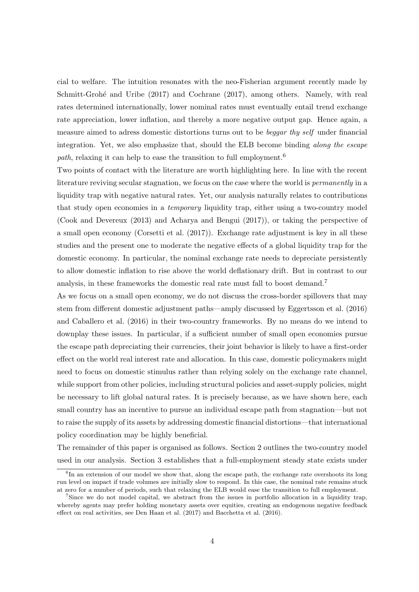cial to welfare. The intuition resonates with the neo-Fisherian argument recently made by Schmitt-Grohé and Uribe (2017) and Cochrane (2017), among others. Namely, with real rates determined internationally, lower nominal rates must eventually entail trend exchange rate appreciation, lower inflation, and thereby a more negative output gap. Hence again, a measure aimed to adress domestic distortions turns out to be beggar thy self under financial integration. Yet, we also emphasize that, should the ELB become binding along the escape path, relaxing it can help to ease the transition to full employment.<sup>6</sup>

Two points of contact with the literature are worth highlighting here. In line with the recent literature reviving secular stagnation, we focus on the case where the world is *permanently* in a liquidity trap with negative natural rates. Yet, our analysis naturally relates to contributions that study open economies in a temporary liquidity trap, either using a two-country model (Cook and Devereux (2013) and Acharya and Bengui (2017)), or taking the perspective of a small open economy (Corsetti et al. (2017)). Exchange rate adjustment is key in all these studies and the present one to moderate the negative effects of a global liquidity trap for the domestic economy. In particular, the nominal exchange rate needs to depreciate persistently to allow domestic inflation to rise above the world deflationary drift. But in contrast to our analysis, in these frameworks the domestic real rate must fall to boost demand.<sup>7</sup>

As we focus on a small open economy, we do not discuss the cross-border spillovers that may stem from different domestic adjustment paths—amply discussed by Eggertsson et al. (2016) and Caballero et al. (2016) in their two-country frameworks. By no means do we intend to downplay these issues. In particular, if a sufficient number of small open economies pursue the escape path depreciating their currencies, their joint behavior is likely to have a first-order effect on the world real interest rate and allocation. In this case, domestic policymakers might need to focus on domestic stimulus rather than relying solely on the exchange rate channel, while support from other policies, including structural policies and asset-supply policies, might be necessary to lift global natural rates. It is precisely because, as we have shown here, each small country has an incentive to pursue an individual escape path from stagnation—but not to raise the supply of its assets by addressing domestic financial distortions—that international policy coordination may be highly beneficial.

The remainder of this paper is organised as follows. Section 2 outlines the two-country model used in our analysis. Section 3 establishes that a full-employment steady state exists under

<sup>&</sup>lt;sup>6</sup>In an extension of our model we show that, along the escape path, the exchange rate overshoots its long run level on impact if trade volumes are initially slow to respond. In this case, the nominal rate remains stuck at zero for a number of periods, such that relaxing the ELB would ease the transition to full employment.

<sup>&</sup>lt;sup>7</sup>Since we do not model capital, we abstract from the issues in portfolio allocation in a liquidity trap, whereby agents may prefer holding monetary assets over equities, creating an endogenous negative feedback effect on real activities, see Den Haan et al. (2017) and Bacchetta et al. (2016).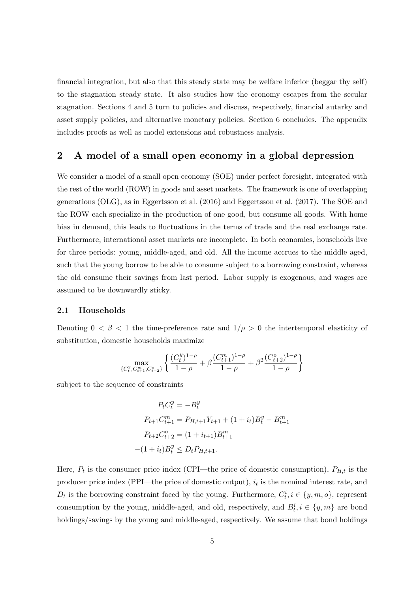financial integration, but also that this steady state may be welfare inferior (beggar thy self) to the stagnation steady state. It also studies how the economy escapes from the secular stagnation. Sections 4 and 5 turn to policies and discuss, respectively, financial autarky and asset supply policies, and alternative monetary policies. Section 6 concludes. The appendix includes proofs as well as model extensions and robustness analysis.

## 2 A model of a small open economy in a global depression

We consider a model of a small open economy (SOE) under perfect foresight, integrated with the rest of the world (ROW) in goods and asset markets. The framework is one of overlapping generations (OLG), as in Eggertsson et al. (2016) and Eggertsson et al. (2017). The SOE and the ROW each specialize in the production of one good, but consume all goods. With home bias in demand, this leads to fluctuations in the terms of trade and the real exchange rate. Furthermore, international asset markets are incomplete. In both economies, households live for three periods: young, middle-aged, and old. All the income accrues to the middle aged, such that the young borrow to be able to consume subject to a borrowing constraint, whereas the old consume their savings from last period. Labor supply is exogenous, and wages are assumed to be downwardly sticky.

#### 2.1 Households

Denoting  $0 < \beta < 1$  the time-preference rate and  $1/\rho > 0$  the intertemporal elasticity of substitution, domestic households maximize

$$
\max_{\{C_t^y, C_{t+1}^m, C_{t+2}^o\}} \left\{ \frac{(C_t^y)^{1-\rho}}{1-\rho} + \beta \frac{(C_{t+1}^m)^{1-\rho}}{1-\rho} + \beta^2 \frac{(C_{t+2}^o)^{1-\rho}}{1-\rho} \right\}
$$

subject to the sequence of constraints

$$
P_t C_t^y = -B_t^y
$$
  
\n
$$
P_{t+1} C_{t+1}^m = P_{H,t+1} Y_{t+1} + (1 + i_t) B_t^y - B_{t+1}^m
$$
  
\n
$$
P_{t+2} C_{t+2}^o = (1 + i_{t+1}) B_{t+1}^m
$$
  
\n
$$
-(1 + i_t) B_t^y \le D_t P_{H,t+1}.
$$

Here,  $P_t$  is the consumer price index (CPI—the price of domestic consumption),  $P_{H,t}$  is the producer price index (PPI—the price of domestic output),  $i_t$  is the nominal interest rate, and  $D_t$  is the borrowing constraint faced by the young. Furthermore,  $C_t^i$ ,  $i \in \{y, m, o\}$ , represent consumption by the young, middle-aged, and old, respectively, and  $B_t^i$ ,  $i \in \{y, m\}$  are bond holdings/savings by the young and middle-aged, respectively. We assume that bond holdings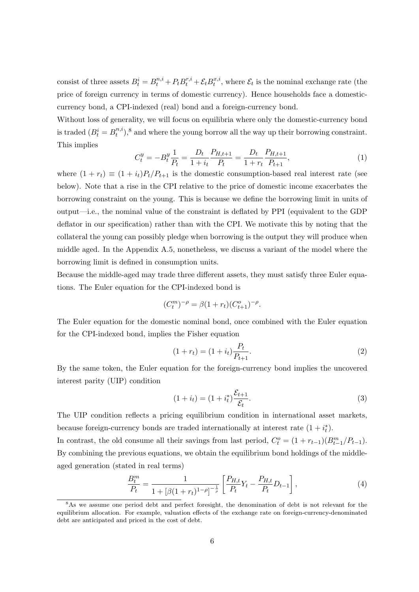consist of three assets  $B_t^i = B_t^{n,i} + P_t B_t^{r,i} + \mathcal{E}_t B_t^{x,i}$  $t^{x,i}_t$ , where  $\mathcal{E}_t$  is the nominal exchange rate (the price of foreign currency in terms of domestic currency). Hence households face a domesticcurrency bond, a CPI-indexed (real) bond and a foreign-currency bond.

Without loss of generality, we will focus on equilibria where only the domestic-currency bond is traded  $(B_t^i = B_t^{n,i})$  $_{t}^{n,i}$ ,<sup>8</sup> and where the young borrow all the way up their borrowing constraint. This implies

$$
C_t^y = -B_t^y \frac{1}{P_t} = \frac{D_t}{1+i_t} \frac{P_{H,t+1}}{P_t} = \frac{D_t}{1+r_t} \frac{P_{H,t+1}}{P_{t+1}},
$$
\n(1)

where  $(1 + r_t) \equiv (1 + i_t)P_t/P_{t+1}$  is the domestic consumption-based real interest rate (see below). Note that a rise in the CPI relative to the price of domestic income exacerbates the borrowing constraint on the young. This is because we define the borrowing limit in units of output—i.e., the nominal value of the constraint is deflated by PPI (equivalent to the GDP deflator in our specification) rather than with the CPI. We motivate this by noting that the collateral the young can possibly pledge when borrowing is the output they will produce when middle aged. In the Appendix A.5, nonetheless, we discuss a variant of the model where the borrowing limit is defined in consumption units.

Because the middle-aged may trade three different assets, they must satisfy three Euler equations. The Euler equation for the CPI-indexed bond is

$$
(C_t^m)^{-\rho} = \beta (1 + r_t) (C_{t+1}^o)^{-\rho}.
$$

The Euler equation for the domestic nominal bond, once combined with the Euler equation for the CPI-indexed bond, implies the Fisher equation

$$
(1 + r_t) = (1 + i_t) \frac{P_t}{P_{t+1}}.
$$
\n(2)

By the same token, the Euler equation for the foreign-currency bond implies the uncovered interest parity (UIP) condition

$$
(1 + i_t) = (1 + i_t^*) \frac{\mathcal{E}_{t+1}}{\mathcal{E}_t}.
$$
\n(3)

The UIP condition reflects a pricing equilibrium condition in international asset markets, because foreign-currency bonds are traded internationally at interest rate  $(1 + i_t^*)$ . In contrast, the old consume all their savings from last period,  $C_t^o = (1 + r_{t-1})(B_{t-1}^m/P_{t-1})$ . By combining the previous equations, we obtain the equilibrium bond holdings of the middleaged generation (stated in real terms)

$$
\frac{B_t^m}{P_t} = \frac{1}{1 + [\beta(1 + r_t)^{1-\rho}]^{-\frac{1}{\rho}}} \left[ \frac{P_{H,t}}{P_t} Y_t - \frac{P_{H,t}}{P_t} D_{t-1} \right],\tag{4}
$$

<sup>&</sup>lt;sup>8</sup>As we assume one period debt and perfect foresight, the denomination of debt is not relevant for the equilibrium allocation. For example, valuation effects of the exchange rate on foreign-currency-denominated debt are anticipated and priced in the cost of debt.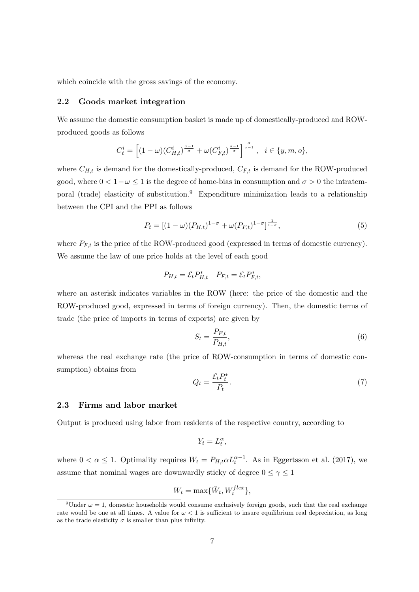which coincide with the gross savings of the economy.

#### 2.2 Goods market integration

We assume the domestic consumption basket is made up of domestically-produced and ROWproduced goods as follows

$$
C_t^i = \left[ (1 - \omega)(C_{H,t}^i)^{\frac{\sigma - 1}{\sigma}} + \omega(C_{F,t}^i)^{\frac{\sigma - 1}{\sigma}} \right]^{\frac{\sigma}{\sigma - 1}}, \quad i \in \{y, m, o\},\
$$

where  $C_{H,t}$  is demand for the domestically-produced,  $C_{F,t}$  is demand for the ROW-produced good, where  $0 < 1 - \omega \leq 1$  is the degree of home-bias in consumption and  $\sigma > 0$  the intratemporal (trade) elasticity of substitution.<sup>9</sup> Expenditure minimization leads to a relationship between the CPI and the PPI as follows

$$
P_t = [(1 - \omega)(P_{H,t})^{1-\sigma} + \omega(P_{F,t})^{1-\sigma}]^{\frac{1}{1-\sigma}},\tag{5}
$$

where  $P_{F,t}$  is the price of the ROW-produced good (expressed in terms of domestic currency). We assume the law of one price holds at the level of each good

$$
P_{H,t} = \mathcal{E}_t P_{H,t}^* \quad P_{F,t} = \mathcal{E}_t P_{F,t}^*,
$$

where an asterisk indicates variables in the ROW (here: the price of the domestic and the ROW-produced good, expressed in terms of foreign currency). Then, the domestic terms of trade (the price of imports in terms of exports) are given by

$$
S_t = \frac{P_{F,t}}{P_{H,t}},\tag{6}
$$

whereas the real exchange rate (the price of ROW-consumption in terms of domestic consumption) obtains from

$$
Q_t = \frac{\mathcal{E}_t P_t^*}{P_t}.\tag{7}
$$

#### 2.3 Firms and labor market

Output is produced using labor from residents of the respective country, according to

$$
Y_t = L_t^{\alpha},
$$

where  $0 < \alpha \leq 1$ . Optimality requires  $W_t = P_{H,t} \alpha L_t^{\alpha-1}$ . As in Eggertsson et al. (2017), we assume that nominal wages are downwardly sticky of degree  $0 \leq \gamma \leq 1$ 

$$
W_t = \max\{\tilde{W}_t, W_t^{flex}\},\
$$

<sup>&</sup>lt;sup>9</sup>Under  $\omega = 1$ , domestic households would consume exclusively foreign goods, such that the real exchange rate would be one at all times. A value for  $\omega < 1$  is sufficient to insure equilibrium real depreciation, as long as the trade elasticity  $\sigma$  is smaller than plus infinity.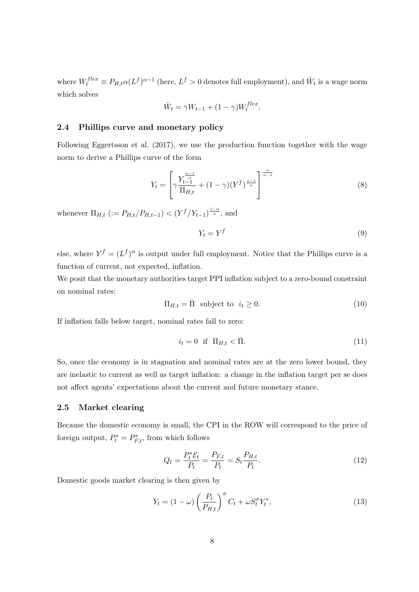where  $W_t^{flex} \equiv P_{H,t} \alpha (L^f)^{\alpha-1}$  (here,  $L^f > 0$  denotes full employment), and  $\tilde{W}_t$  is a wage norm which solves

$$
\tilde{W}_t = \gamma W_{t-1} + (1 - \gamma) W_t^{flex}.
$$

## 2.4 Phillips curve and monetary policy

Following Eggertsson et al. (2017), we use the production function together with the wage norm to derive a Phillips curve of the form

$$
Y_t = \left[ \gamma \frac{Y_{t-1}^{\frac{\alpha-1}{\alpha}}}{\Pi_{H,t}} + (1-\gamma)(Y^f)^{\frac{\alpha-1}{\alpha}} \right]^{\frac{\alpha}{\alpha-1}} \tag{8}
$$

whenever  $\Pi_{H,t}$  (:=  $P_{H,t}/P_{H,t-1}$ ) <  $(Y^f/Y_{t-1})^{\frac{1-\alpha}{\alpha}}$ , and

$$
Y_t = Y^f \tag{9}
$$

else, where  $Y^f = (L^f)^\alpha$  is output under full employment. Notice that the Phillips curve is a function of current, not expected, inflation.

We posit that the monetary authorities target PPI inflation subject to a zero-bound constraint on nominal rates:

$$
\Pi_{H,t} = \bar{\Pi} \text{ subject to } i_t \ge 0. \tag{10}
$$

If inflation falls below target, nominal rates fall to zero:

$$
i_t = 0 \quad \text{if} \quad \Pi_{H,t} < \bar{\Pi}. \tag{11}
$$

So, once the economy is in stagnation and nominal rates are at the zero lower bound, they are inelastic to current as well as target inflation: a change in the inflation target per se does not affect agents' expectations about the current and future monetary stance.

#### 2.5 Market clearing

Because the domestic economy is small, the CPI in the ROW will correspond to the price of foreign output,  $P_t^* = P_{F,t}^*$ , from which follows

$$
Q_t = \frac{P_t^* \mathcal{E}_t}{P_t} = \frac{P_{F,t}}{P_t} = S_t \frac{P_{H,t}}{P_t}.
$$
\n(12)

Domestic goods market clearing is then given by

$$
Y_t = (1 - \omega) \left(\frac{P_t}{P_{H,t}}\right)^{\sigma} C_t + \omega S_t^{\sigma} Y_t^*,
$$
\n(13)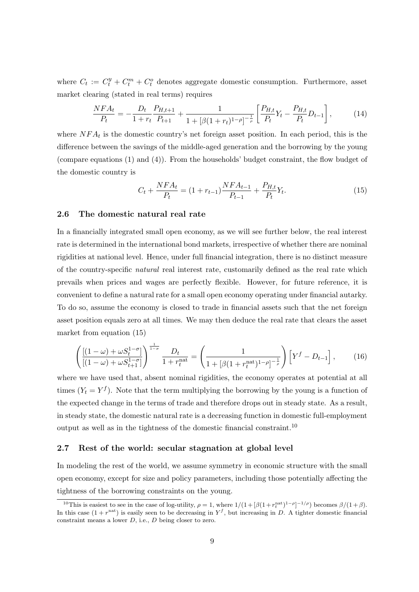where  $C_t := C_t^y + C_t^m + C_t^o$  denotes aggregate domestic consumption. Furthermore, asset market clearing (stated in real terms) requires

$$
\frac{NFA_t}{P_t} = -\frac{D_t}{1+r_t} \frac{P_{H,t+1}}{P_{t+1}} + \frac{1}{1+[\beta(1+r_t)^{1-\rho}]^{-\frac{1}{\rho}}} \left[ \frac{P_{H,t}}{P_t} Y_t - \frac{P_{H,t}}{P_t} D_{t-1} \right],\tag{14}
$$

where  $NFA_t$  is the domestic country's net foreign asset position. In each period, this is the difference between the savings of the middle-aged generation and the borrowing by the young (compare equations (1) and (4)). From the households' budget constraint, the flow budget of the domestic country is

$$
C_t + \frac{NFA_t}{P_t} = (1 + r_{t-1})\frac{NFA_{t-1}}{P_{t-1}} + \frac{P_{H,t}}{P_t}Y_t.
$$
\n
$$
(15)
$$

#### 2.6 The domestic natural real rate

In a financially integrated small open economy, as we will see further below, the real interest rate is determined in the international bond markets, irrespective of whether there are nominal rigidities at national level. Hence, under full financial integration, there is no distinct measure of the country-specific natural real interest rate, customarily defined as the real rate which prevails when prices and wages are perfectly flexible. However, for future reference, it is convenient to define a natural rate for a small open economy operating under financial autarky. To do so, assume the economy is closed to trade in financial assets such that the net foreign asset position equals zero at all times. We may then deduce the real rate that clears the asset market from equation (15)

$$
\left(\frac{[(1-\omega)+\omega S_t^{1-\sigma}]}{[(1-\omega)+\omega S_{t+1}^{1-\sigma}]}\right)^{\frac{1}{1-\sigma}}\frac{D_t}{1+r_t^{\text{nat}}} = \left(\frac{1}{1+[\beta(1+r_t^{\text{nat}})^{1-\rho}]^{-\frac{1}{\rho}}}\right)\left[Y^f - D_{t-1}\right],\tag{16}
$$

where we have used that, absent nominal rigidities, the economy operates at potential at all times  $(Y_t = Y^f)$ . Note that the term multiplying the borrowing by the young is a function of the expected change in the terms of trade and therefore drops out in steady state. As a result, in steady state, the domestic natural rate is a decreasing function in domestic full-employment output as well as in the tightness of the domestic financial constraint.<sup>10</sup>

#### 2.7 Rest of the world: secular stagnation at global level

In modeling the rest of the world, we assume symmetry in economic structure with the small open economy, except for size and policy parameters, including those potentially affecting the tightness of the borrowing constraints on the young.

<sup>&</sup>lt;sup>10</sup>This is easiest to see in the case of log-utility,  $\rho = 1$ , where  $1/(1 + [\beta(1 + r_t^{\text{nat}})^{1-\rho}]^{-1/\rho})$  becomes  $\beta/(1+\beta)$ . In this case  $(1 + r<sup>nat</sup>)$  is easily seen to be decreasing in  $Y<sup>f</sup>$ , but increasing in D. A tighter domestic financial constraint means a lower D, i.e., D being closer to zero.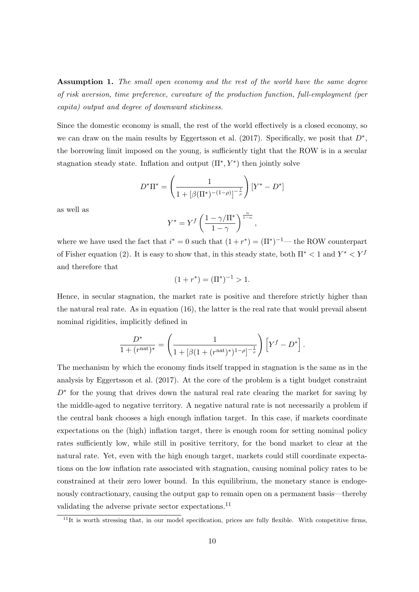Assumption 1. The small open economy and the rest of the world have the same degree of risk aversion, time preference, curvature of the production function, full-employment (per capita) output and degree of downward stickiness.

Since the domestic economy is small, the rest of the world effectively is a closed economy, so we can draw on the main results by Eggertsson et al. (2017). Specifically, we posit that  $D^*$ , the borrowing limit imposed on the young, is sufficiently tight that the ROW is in a secular stagnation steady state. Inflation and output  $(\Pi^*, Y^*)$  then jointly solve

$$
D^*\Pi^* = \left(\frac{1}{1 + [\beta(\Pi^*)^{-(1-\rho)}]^{-\frac{1}{\rho}}}\right)[Y^* - D^*]
$$

as well as

$$
Y^* = Y^f \left(\frac{1 - \gamma/\Pi^*}{1 - \gamma}\right)^{\frac{\alpha}{1 - \alpha}},
$$

where we have used the fact that  $i^* = 0$  such that  $(1 + r^*) = (\Pi^*)^{-1}$ — the ROW counterpart of Fisher equation (2). It is easy to show that, in this steady state, both  $\Pi^* < 1$  and  $Y^* < Y^f$ and therefore that

$$
(1 + r^*) = (\Pi^*)^{-1} > 1.
$$

Hence, in secular stagnation, the market rate is positive and therefore strictly higher than the natural real rate. As in equation (16), the latter is the real rate that would prevail absent nominal rigidities, implicitly defined in

$$
\frac{D^*}{1 + (r^{\text{nat}})^*} = \left(\frac{1}{1 + [\beta(1 + (r^{\text{nat}})^*)^{1-\rho}]^{-\frac{1}{\rho}}}\right) \left[Y^f - D^*\right].
$$

The mechanism by which the economy finds itself trapped in stagnation is the same as in the analysis by Eggertsson et al. (2017). At the core of the problem is a tight budget constraint  $D^*$  for the young that drives down the natural real rate clearing the market for saving by the middle-aged to negative territory. A negative natural rate is not necessarily a problem if the central bank chooses a high enough inflation target. In this case, if markets coordinate expectations on the (high) inflation target, there is enough room for setting nominal policy rates sufficiently low, while still in positive territory, for the bond market to clear at the natural rate. Yet, even with the high enough target, markets could still coordinate expectations on the low inflation rate associated with stagnation, causing nominal policy rates to be constrained at their zero lower bound. In this equilibrium, the monetary stance is endogenously contractionary, causing the output gap to remain open on a permanent basis—thereby validating the adverse private sector expectations.<sup>11</sup>

 $11$ <sup>II</sup>It is worth stressing that, in our model specification, prices are fully flexible. With competitive firms,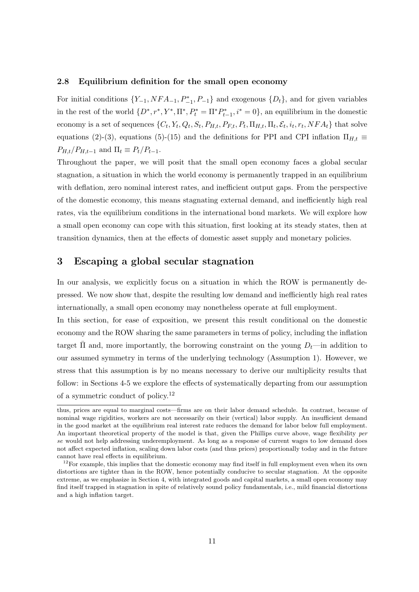#### 2.8 Equilibrium definition for the small open economy

For initial conditions  $\{Y_{-1}, NFA_{-1}, P_{-1}^*, P_{-1}\}\$  and exogenous  $\{D_t\}\$ , and for given variables in the rest of the world  $\{D^*, r^*, Y^*, \Pi^*, P_t^* = \Pi^* P_{t-1}^*, i^* = 0\}$ , an equilibrium in the domestic economy is a set of sequences  $\{C_t, Y_t, Q_t, S_t, P_{H,t}, P_{F,t}, P_t, \Pi_{H,t}, \Pi_t, \mathcal{E}_t, i_t, r_t, NFA_t\}$  that solve equations (2)-(3), equations (5)-(15) and the definitions for PPI and CPI inflation  $\Pi_{H,t}$  $P_{H,t}/P_{H,t-1}$  and  $\Pi_t \equiv P_t/P_{t-1}$ .

Throughout the paper, we will posit that the small open economy faces a global secular stagnation, a situation in which the world economy is permanently trapped in an equilibrium with deflation, zero nominal interest rates, and inefficient output gaps. From the perspective of the domestic economy, this means stagnating external demand, and inefficiently high real rates, via the equilibrium conditions in the international bond markets. We will explore how a small open economy can cope with this situation, first looking at its steady states, then at transition dynamics, then at the effects of domestic asset supply and monetary policies.

## 3 Escaping a global secular stagnation

In our analysis, we explicitly focus on a situation in which the ROW is permanently depressed. We now show that, despite the resulting low demand and inefficiently high real rates internationally, a small open economy may nonetheless operate at full employment.

In this section, for ease of exposition, we present this result conditional on the domestic economy and the ROW sharing the same parameters in terms of policy, including the inflation target  $\Pi$  and, more importantly, the borrowing constraint on the young  $D_t$ —in addition to our assumed symmetry in terms of the underlying technology (Assumption 1). However, we stress that this assumption is by no means necessary to derive our multiplicity results that follow: in Sections 4-5 we explore the effects of systematically departing from our assumption of a symmetric conduct of policy.<sup>12</sup>

thus, prices are equal to marginal costs—firms are on their labor demand schedule. In contrast, because of nominal wage rigidities, workers are not necessarily on their (vertical) labor supply. An insufficient demand in the good market at the equilibrium real interest rate reduces the demand for labor below full employment. An important theoretical property of the model is that, given the Phillips curve above, wage flexibility per se would not help addressing underemployment. As long as a response of current wages to low demand does not affect expected inflation, scaling down labor costs (and thus prices) proportionally today and in the future cannot have real effects in equilibrium.

 $12$ For example, this implies that the domestic economy may find itself in full employment even when its own distortions are tighter than in the ROW, hence potentially conducive to secular stagnation. At the opposite extreme, as we emphasize in Section 4, with integrated goods and capital markets, a small open economy may find itself trapped in stagnation in spite of relatively sound policy fundamentals, i.e., mild financial distortions and a high inflation target.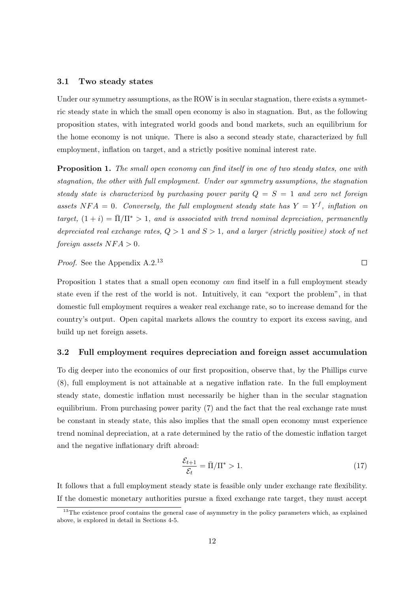#### 3.1 Two steady states

Under our symmetry assumptions, as the ROW is in secular stagnation, there exists a symmetric steady state in which the small open economy is also in stagnation. But, as the following proposition states, with integrated world goods and bond markets, such an equilibrium for the home economy is not unique. There is also a second steady state, characterized by full employment, inflation on target, and a strictly positive nominal interest rate.

**Proposition 1.** The small open economy can find itself in one of two steady states, one with stagnation, the other with full employment. Under our symmetry assumptions, the stagnation steady state is characterized by purchasing power parity  $Q = S = 1$  and zero net foreign assets NFA = 0. Conversely, the full employment steady state has  $Y = Y<sup>f</sup>$ , inflation on target,  $(1 + i) = \overline{\Pi}/\Pi^* > 1$ , and is associated with trend nominal depreciation, permanently depreciated real exchange rates,  $Q > 1$  and  $S > 1$ , and a larger (strictly positive) stock of net foreign assets  $NFA > 0$ .

Proof. See the Appendix A.2.<sup>13</sup>

Proposition 1 states that a small open economy can find itself in a full employment steady state even if the rest of the world is not. Intuitively, it can "export the problem", in that domestic full employment requires a weaker real exchange rate, so to increase demand for the country's output. Open capital markets allows the country to export its excess saving, and build up net foreign assets.

#### 3.2 Full employment requires depreciation and foreign asset accumulation

To dig deeper into the economics of our first proposition, observe that, by the Phillips curve (8), full employment is not attainable at a negative inflation rate. In the full employment steady state, domestic inflation must necessarily be higher than in the secular stagnation equilibrium. From purchasing power parity (7) and the fact that the real exchange rate must be constant in steady state, this also implies that the small open economy must experience trend nominal depreciation, at a rate determined by the ratio of the domestic inflation target and the negative inflationary drift abroad:

$$
\frac{\mathcal{E}_{t+1}}{\mathcal{E}_t} = \bar{\Pi}/\Pi^* > 1.
$$
\n(17)

 $\Box$ 

It follows that a full employment steady state is feasible only under exchange rate flexibility. If the domestic monetary authorities pursue a fixed exchange rate target, they must accept

 $13$ The existence proof contains the general case of asymmetry in the policy parameters which, as explained above, is explored in detail in Sections 4-5.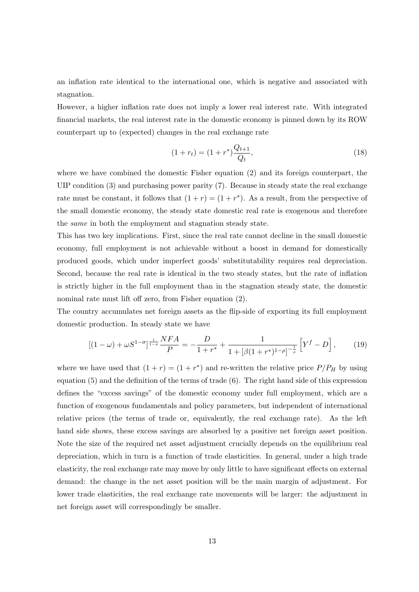an inflation rate identical to the international one, which is negative and associated with stagnation.

However, a higher inflation rate does not imply a lower real interest rate. With integrated financial markets, the real interest rate in the domestic economy is pinned down by its ROW counterpart up to (expected) changes in the real exchange rate

$$
(1 + r_t) = (1 + r^*) \frac{Q_{t+1}}{Q_t},\tag{18}
$$

where we have combined the domestic Fisher equation (2) and its foreign counterpart, the UIP condition (3) and purchasing power parity (7). Because in steady state the real exchange rate must be constant, it follows that  $(1 + r) = (1 + r^*)$ . As a result, from the perspective of the small domestic economy, the steady state domestic real rate is exogenous and therefore the same in both the employment and stagnation steady state.

This has two key implications. First, since the real rate cannot decline in the small domestic economy, full employment is not achievable without a boost in demand for domestically produced goods, which under imperfect goods' substitutability requires real depreciation. Second, because the real rate is identical in the two steady states, but the rate of inflation is strictly higher in the full employment than in the stagnation steady state, the domestic nominal rate must lift off zero, from Fisher equation (2).

The country accumulates net foreign assets as the flip-side of exporting its full employment domestic production. In steady state we have

$$
[(1 - \omega) + \omega S^{1 - \sigma}]^{\frac{1}{1 - \sigma}} \frac{NFA}{P} = -\frac{D}{1 + r^*} + \frac{1}{1 + [\beta(1 + r^*)^{1 - \rho}]^{-\frac{1}{\rho}}} \left[ Y^f - D \right],
$$
 (19)

where we have used that  $(1 + r) = (1 + r^*)$  and re-written the relative price  $P/P_H$  by using equation (5) and the definition of the terms of trade (6). The right hand side of this expression defines the "excess savings" of the domestic economy under full employment, which are a function of exogenous fundamentals and policy parameters, but independent of international relative prices (the terms of trade or, equivalently, the real exchange rate). As the left hand side shows, these excess savings are absorbed by a positive net foreign asset position. Note the size of the required net asset adjustment crucially depends on the equilibrium real depreciation, which in turn is a function of trade elasticities. In general, under a high trade elasticity, the real exchange rate may move by only little to have significant effects on external demand: the change in the net asset position will be the main margin of adjustment. For lower trade elasticities, the real exchange rate movements will be larger: the adjustment in net foreign asset will correspondingly be smaller.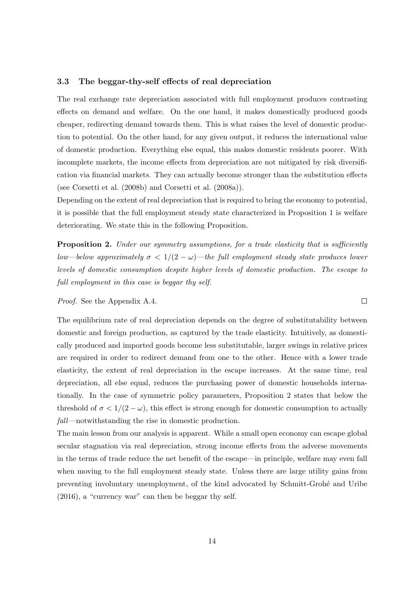#### 3.3 The beggar-thy-self effects of real depreciation

The real exchange rate depreciation associated with full employment produces contrasting effects on demand and welfare. On the one hand, it makes domestically produced goods cheaper, redirecting demand towards them. This is what raises the level of domestic production to potential. On the other hand, for any given output, it reduces the international value of domestic production. Everything else equal, this makes domestic residents poorer. With incomplete markets, the income effects from depreciation are not mitigated by risk diversification via financial markets. They can actually become stronger than the substitution effects (see Corsetti et al. (2008b) and Corsetti et al. (2008a)).

Depending on the extent of real depreciation that is required to bring the economy to potential, it is possible that the full employment steady state characterized in Proposition 1 is welfare deteriorating. We state this in the following Proposition.

**Proposition 2.** Under our symmetry assumptions, for a trade elasticity that is sufficiently low—below approximately  $\sigma < 1/(2 - \omega)$ —the full employment steady state produces lower levels of domestic consumption despite higher levels of domestic production. The escape to full employment in this case is beggar thy self.

Proof. See the Appendix A.4.

The equilibrium rate of real depreciation depends on the degree of substitutability between domestic and foreign production, as captured by the trade elasticity. Intuitively, as domestically produced and imported goods become less substitutable, larger swings in relative prices are required in order to redirect demand from one to the other. Hence with a lower trade elasticity, the extent of real depreciation in the escape increases. At the same time, real depreciation, all else equal, reduces the purchasing power of domestic households internationally. In the case of symmetric policy parameters, Proposition 2 states that below the threshold of  $\sigma < 1/(2 - \omega)$ , this effect is strong enough for domestic consumption to actually fall—notwithstanding the rise in domestic production.

The main lesson from our analysis is apparent. While a small open economy can escape global secular stagnation via real depreciation, strong income effects from the adverse movements in the terms of trade reduce the net benefit of the escape—in principle, welfare may even fall when moving to the full employment steady state. Unless there are large utility gains from preventing involuntary unemployment, of the kind advocated by Schmitt-Groh´e and Uribe (2016), a "currency war" can then be beggar thy self.

 $\Box$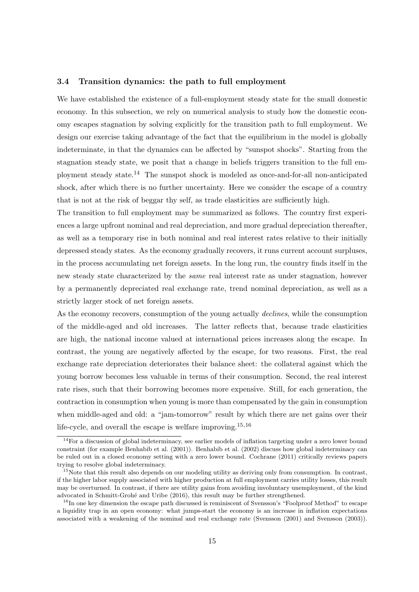#### 3.4 Transition dynamics: the path to full employment

We have established the existence of a full-employment steady state for the small domestic economy. In this subsection, we rely on numerical analysis to study how the domestic economy escapes stagnation by solving explicitly for the transition path to full employment. We design our exercise taking advantage of the fact that the equilibrium in the model is globally indeterminate, in that the dynamics can be affected by "sunspot shocks". Starting from the stagnation steady state, we posit that a change in beliefs triggers transition to the full employment steady state.<sup>14</sup> The sunspot shock is modeled as once-and-for-all non-anticipated shock, after which there is no further uncertainty. Here we consider the escape of a country that is not at the risk of beggar thy self, as trade elasticities are sufficiently high.

The transition to full employment may be summarized as follows. The country first experiences a large upfront nominal and real depreciation, and more gradual depreciation thereafter, as well as a temporary rise in both nominal and real interest rates relative to their initially depressed steady states. As the economy gradually recovers, it runs current account surpluses, in the process accumulating net foreign assets. In the long run, the country finds itself in the new steady state characterized by the same real interest rate as under stagnation, however by a permanently depreciated real exchange rate, trend nominal depreciation, as well as a strictly larger stock of net foreign assets.

As the economy recovers, consumption of the young actually declines, while the consumption of the middle-aged and old increases. The latter reflects that, because trade elasticities are high, the national income valued at international prices increases along the escape. In contrast, the young are negatively affected by the escape, for two reasons. First, the real exchange rate depreciation deteriorates their balance sheet: the collateral against which the young borrow becomes less valuable in terms of their consumption. Second, the real interest rate rises, such that their borrowing becomes more expensive. Still, for each generation, the contraction in consumption when young is more than compensated by the gain in consumption when middle-aged and old: a "jam-tomorrow" result by which there are net gains over their life-cycle, and overall the escape is welfare improving.15,16

 $14$ For a discussion of global indeterminacy, see earlier models of inflation targeting under a zero lower bound constraint (for example Benhabib et al. (2001)). Benhabib et al. (2002) discuss how global indeterminacy can be ruled out in a closed economy setting with a zero lower bound. Cochrane (2011) critically reviews papers trying to resolve global indeterminacy.

<sup>&</sup>lt;sup>15</sup>Note that this result also depends on our modeling utility as deriving only from consumption. In contrast, if the higher labor supply associated with higher production at full employment carries utility losses, this result may be overturned. In contrast, if there are utility gains from avoiding involuntary unemployment, of the kind advocated in Schmitt-Grohé and Uribe (2016), this result may be further strengthened.

<sup>&</sup>lt;sup>16</sup>In one key dimension the escape path discussed is reminiscent of Svensson's "Foolproof Method" to escape a liquidity trap in an open economy: what jumps-start the economy is an increase in inflation expectations associated with a weakening of the nominal and real exchange rate (Svensson (2001) and Svensson (2003)).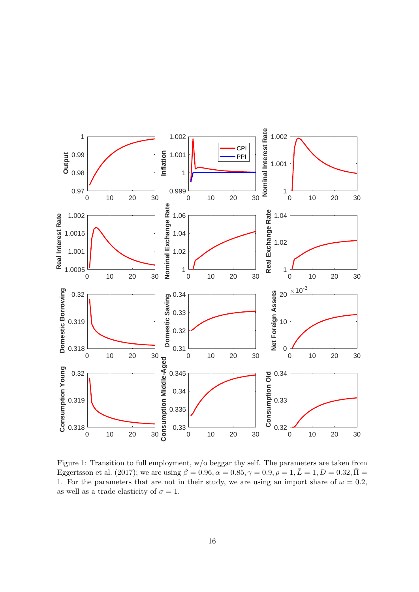

Figure 1: Transition to full employment, w/o beggar thy self. The parameters are taken from Eggertsson et al. (2017); we are using  $\beta = 0.96, \alpha = 0.85, \gamma = 0.9, \rho = 1, \bar{L} = 1, D = 0.32, \bar{\Pi} =$ 1. For the parameters that are not in their study, we are using an import share of  $\omega = 0.2$ , as well as a trade elasticity of  $\sigma = 1$ .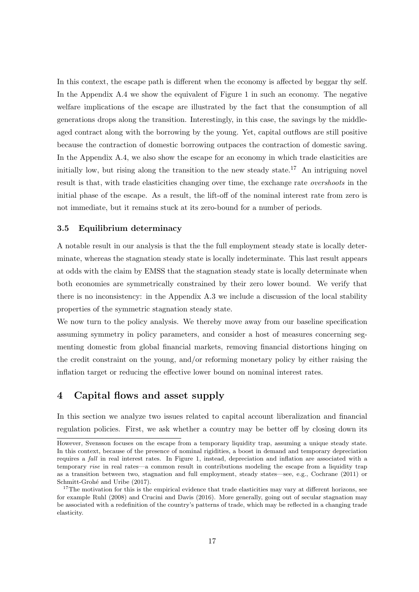In this context, the escape path is different when the economy is affected by beggar thy self. In the Appendix A.4 we show the equivalent of Figure 1 in such an economy. The negative welfare implications of the escape are illustrated by the fact that the consumption of all generations drops along the transition. Interestingly, in this case, the savings by the middleaged contract along with the borrowing by the young. Yet, capital outflows are still positive because the contraction of domestic borrowing outpaces the contraction of domestic saving. In the Appendix A.4, we also show the escape for an economy in which trade elasticities are initially low, but rising along the transition to the new steady state.<sup>17</sup> An intriguing novel result is that, with trade elasticities changing over time, the exchange rate *overshoots* in the initial phase of the escape. As a result, the lift-off of the nominal interest rate from zero is not immediate, but it remains stuck at its zero-bound for a number of periods.

#### 3.5 Equilibrium determinacy

A notable result in our analysis is that the the full employment steady state is locally determinate, whereas the stagnation steady state is locally indeterminate. This last result appears at odds with the claim by EMSS that the stagnation steady state is locally determinate when both economies are symmetrically constrained by their zero lower bound. We verify that there is no inconsistency: in the Appendix A.3 we include a discussion of the local stability properties of the symmetric stagnation steady state.

We now turn to the policy analysis. We thereby move away from our baseline specification assuming symmetry in policy parameters, and consider a host of measures concerning segmenting domestic from global financial markets, removing financial distortions hinging on the credit constraint on the young, and/or reforming monetary policy by either raising the inflation target or reducing the effective lower bound on nominal interest rates.

## 4 Capital flows and asset supply

In this section we analyze two issues related to capital account liberalization and financial regulation policies. First, we ask whether a country may be better off by closing down its

However, Svensson focuses on the escape from a temporary liquidity trap, assuming a unique steady state. In this context, because of the presence of nominal rigidities, a boost in demand and temporary depreciation requires a fall in real interest rates. In Figure 1, instead, depreciation and inflation are associated with a temporary rise in real rates—a common result in contributions modeling the escape from a liquidity trap as a transition between two, stagnation and full employment, steady states—see, e.g., Cochrane (2011) or Schmitt-Grohé and Uribe (2017).

<sup>&</sup>lt;sup>17</sup>The motivation for this is the empirical evidence that trade elasticities may vary at different horizons, see for example Ruhl (2008) and Crucini and Davis (2016). More generally, going out of secular stagnation may be associated with a redefinition of the country's patterns of trade, which may be reflected in a changing trade elasticity.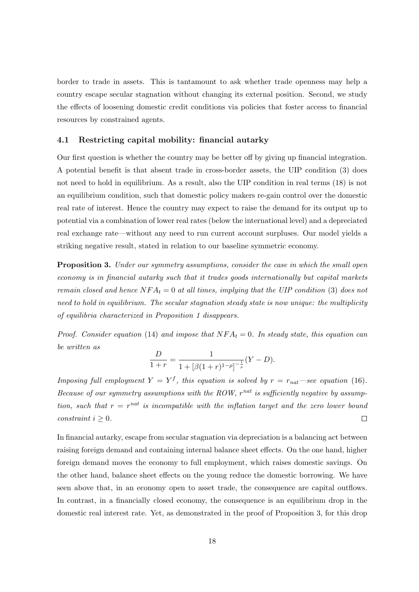border to trade in assets. This is tantamount to ask whether trade openness may help a country escape secular stagnation without changing its external position. Second, we study the effects of loosening domestic credit conditions via policies that foster access to financial resources by constrained agents.

#### 4.1 Restricting capital mobility: financial autarky

Our first question is whether the country may be better off by giving up financial integration. A potential benefit is that absent trade in cross-border assets, the UIP condition (3) does not need to hold in equilibrium. As a result, also the UIP condition in real terms (18) is not an equilibrium condition, such that domestic policy makers re-gain control over the domestic real rate of interest. Hence the country may expect to raise the demand for its output up to potential via a combination of lower real rates (below the international level) and a depreciated real exchange rate—without any need to run current account surpluses. Our model yields a striking negative result, stated in relation to our baseline symmetric economy.

**Proposition 3.** Under our symmetry assumptions, consider the case in which the small open economy is in financial autarky such that it trades goods internationally but capital markets remain closed and hence  $NFA_t = 0$  at all times, implying that the UIP condition (3) does not need to hold in equilibrium. The secular stagnation steady state is now unique: the multiplicity of equilibria characterized in Proposition 1 disappears.

Proof. Consider equation (14) and impose that  $NFA_t = 0$ . In steady state, this equation can be written as

$$
\frac{D}{1+r} = \frac{1}{1 + [\beta(1+r)^{1-\rho}]^{-\frac{1}{\rho}}}(Y - D).
$$

Imposing full employment  $Y = Y^f$ , this equation is solved by  $r = r_{nat}$ —see equation (16). Because of our symmetry assumptions with the ROW,  $r^{nat}$  is sufficiently negative by assumption, such that  $r = r^{nat}$  is incompatible with the inflation target and the zero lower bound constraint  $i \geq 0$ .  $\Box$ 

In financial autarky, escape from secular stagnation via depreciation is a balancing act between raising foreign demand and containing internal balance sheet effects. On the one hand, higher foreign demand moves the economy to full employment, which raises domestic savings. On the other hand, balance sheet effects on the young reduce the domestic borrowing. We have seen above that, in an economy open to asset trade, the consequence are capital outflows. In contrast, in a financially closed economy, the consequence is an equilibrium drop in the domestic real interest rate. Yet, as demonstrated in the proof of Proposition 3, for this drop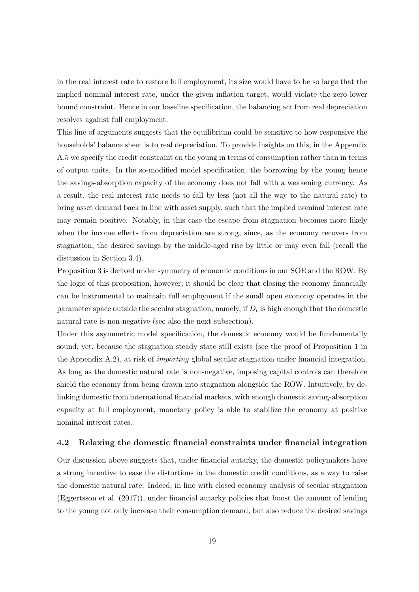in the real interest rate to restore full employment, its size would have to be so large that the implied nominal interest rate, under the given inflation target, would violate the zero lower bound constraint. Hence in our baseline specification, the balancing act from real depreciation resolves against full employment.

This line of arguments suggests that the equilibrium could be sensitive to how responsive the households' balance sheet is to real depreciation. To provide insights on this, in the Appendix A.5 we specify the credit constraint on the young in terms of consumption rather than in terms of output units. In the so-modified model specification, the borrowing by the young hence the savings-absorption capacity of the economy does not fall with a weakening currency. As a result, the real interest rate needs to fall by less (not all the way to the natural rate) to bring asset demand back in line with asset supply, such that the implied nominal interest rate may remain positive. Notably, in this case the escape from stagnation becomes more likely when the income effects from depreciation are strong, since, as the economy recovers from stagnation, the desired savings by the middle-aged rise by little or may even fall (recall the discussion in Section 3.4).

Proposition 3 is derived under symmetry of economic conditions in our SOE and the ROW. By the logic of this proposition, however, it should be clear that closing the economy financially can be instrumental to maintain full employment if the small open economy operates in the parameter space outside the secular stagnation, namely, if  $D_t$  is high enough that the domestic natural rate is non-negative (see also the next subsection).

Under this asymmetric model specification, the domestic economy would be fundamentally sound, yet, because the stagnation steady state still exists (see the proof of Proposition 1 in the Appendix A.2), at risk of importing global secular stagnation under financial integration. As long as the domestic natural rate is non-negative, imposing capital controls can therefore shield the economy from being drawn into stagnation alongside the ROW. Intuitively, by delinking domestic from international financial markets, with enough domestic saving-absorption capacity at full employment, monetary policy is able to stabilize the economy at positive nominal interest rates.

#### 4.2 Relaxing the domestic financial constraints under financial integration

Our discussion above suggests that, under financial autarky, the domestic policymakers have a strong incentive to ease the distortions in the domestic credit conditions, as a way to raise the domestic natural rate. Indeed, in line with closed economy analysis of secular stagnation (Eggertsson et al. (2017)), under financial autarky policies that boost the amount of lending to the young not only increase their consumption demand, but also reduce the desired savings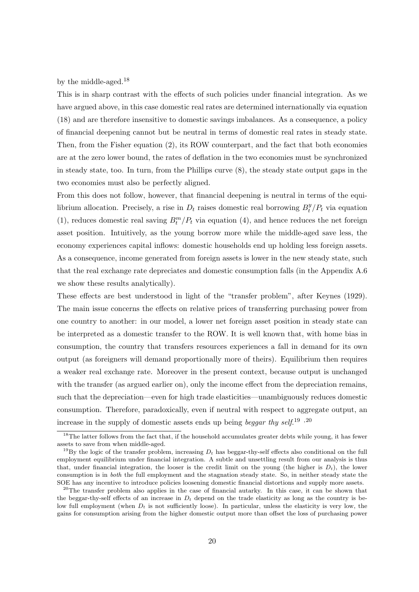by the middle-aged.<sup>18</sup>

This is in sharp contrast with the effects of such policies under financial integration. As we have argued above, in this case domestic real rates are determined internationally via equation (18) and are therefore insensitive to domestic savings imbalances. As a consequence, a policy of financial deepening cannot but be neutral in terms of domestic real rates in steady state. Then, from the Fisher equation (2), its ROW counterpart, and the fact that both economies are at the zero lower bound, the rates of deflation in the two economies must be synchronized in steady state, too. In turn, from the Phillips curve (8), the steady state output gaps in the two economies must also be perfectly aligned.

From this does not follow, however, that financial deepening is neutral in terms of the equilibrium allocation. Precisely, a rise in  $D_t$  raises domestic real borrowing  $B_t^y$  $t^y/P_t$  via equation (1), reduces domestic real saving  $B_t^m/P_t$  via equation (4), and hence reduces the net foreign asset position. Intuitively, as the young borrow more while the middle-aged save less, the economy experiences capital inflows: domestic households end up holding less foreign assets. As a consequence, income generated from foreign assets is lower in the new steady state, such that the real exchange rate depreciates and domestic consumption falls (in the Appendix A.6 we show these results analytically).

These effects are best understood in light of the "transfer problem", after Keynes (1929). The main issue concerns the effects on relative prices of transferring purchasing power from one country to another: in our model, a lower net foreign asset position in steady state can be interpreted as a domestic transfer to the ROW. It is well known that, with home bias in consumption, the country that transfers resources experiences a fall in demand for its own output (as foreigners will demand proportionally more of theirs). Equilibrium then requires a weaker real exchange rate. Moreover in the present context, because output is unchanged with the transfer (as argued earlier on), only the income effect from the depreciation remains, such that the depreciation—even for high trade elasticities—unambiguously reduces domestic consumption. Therefore, paradoxically, even if neutral with respect to aggregate output, an increase in the supply of domestic assets ends up being *beggar thy self.*<sup>19</sup>,<sup>20</sup>

 $18$ The latter follows from the fact that, if the household accumulates greater debts while young, it has fewer assets to save from when middle-aged.

<sup>&</sup>lt;sup>19</sup>By the logic of the transfer problem, increasing  $D_t$  has beggar-thy-self effects also conditional on the full employment equilibrium under financial integration. A subtle and unsettling result from our analysis is thus that, under financial integration, the looser is the credit limit on the young (the higher is  $D_t$ ), the lower consumption is in both the full employment and the stagnation steady state. So, in neither steady state the SOE has any incentive to introduce policies loosening domestic financial distortions and supply more assets.

<sup>&</sup>lt;sup>20</sup>The transfer problem also applies in the case of financial autarky. In this case, it can be shown that the beggar-thy-self effects of an increase in  $D_t$  depend on the trade elasticity as long as the country is below full employment (when  $D_t$  is not sufficiently loose). In particular, unless the elasticity is very low, the gains for consumption arising from the higher domestic output more than offset the loss of purchasing power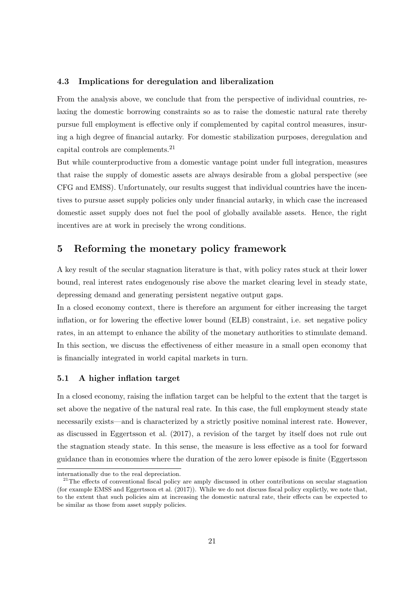#### 4.3 Implications for deregulation and liberalization

From the analysis above, we conclude that from the perspective of individual countries, relaxing the domestic borrowing constraints so as to raise the domestic natural rate thereby pursue full employment is effective only if complemented by capital control measures, insuring a high degree of financial autarky. For domestic stabilization purposes, deregulation and capital controls are complements.<sup>21</sup>

But while counterproductive from a domestic vantage point under full integration, measures that raise the supply of domestic assets are always desirable from a global perspective (see CFG and EMSS). Unfortunately, our results suggest that individual countries have the incentives to pursue asset supply policies only under financial autarky, in which case the increased domestic asset supply does not fuel the pool of globally available assets. Hence, the right incentives are at work in precisely the wrong conditions.

### 5 Reforming the monetary policy framework

A key result of the secular stagnation literature is that, with policy rates stuck at their lower bound, real interest rates endogenously rise above the market clearing level in steady state, depressing demand and generating persistent negative output gaps.

In a closed economy context, there is therefore an argument for either increasing the target inflation, or for lowering the effective lower bound (ELB) constraint, i.e. set negative policy rates, in an attempt to enhance the ability of the monetary authorities to stimulate demand. In this section, we discuss the effectiveness of either measure in a small open economy that is financially integrated in world capital markets in turn.

#### 5.1 A higher inflation target

In a closed economy, raising the inflation target can be helpful to the extent that the target is set above the negative of the natural real rate. In this case, the full employment steady state necessarily exists—and is characterized by a strictly positive nominal interest rate. However, as discussed in Eggertsson et al. (2017), a revision of the target by itself does not rule out the stagnation steady state. In this sense, the measure is less effective as a tool for forward guidance than in economies where the duration of the zero lower episode is finite (Eggertsson

internationally due to the real depreciation.

 $2^{1}$ The effects of conventional fiscal policy are amply discussed in other contributions on secular stagnation (for example EMSS and Eggertsson et al. (2017)). While we do not discuss fiscal policy explictly, we note that, to the extent that such policies aim at increasing the domestic natural rate, their effects can be expected to be similar as those from asset supply policies.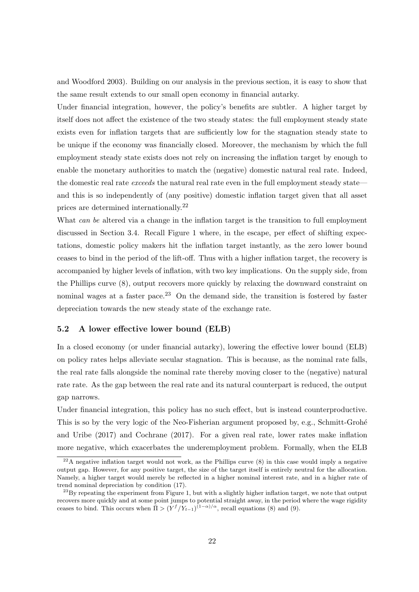and Woodford 2003). Building on our analysis in the previous section, it is easy to show that the same result extends to our small open economy in financial autarky.

Under financial integration, however, the policy's benefits are subtler. A higher target by itself does not affect the existence of the two steady states: the full employment steady state exists even for inflation targets that are sufficiently low for the stagnation steady state to be unique if the economy was financially closed. Moreover, the mechanism by which the full employment steady state exists does not rely on increasing the inflation target by enough to enable the monetary authorities to match the (negative) domestic natural real rate. Indeed, the domestic real rate *exceeds* the natural real rate even in the full employment steady state and this is so independently of (any positive) domestic inflation target given that all asset prices are determined internationally.<sup>22</sup>

What can be altered via a change in the inflation target is the transition to full employment discussed in Section 3.4. Recall Figure 1 where, in the escape, per effect of shifting expectations, domestic policy makers hit the inflation target instantly, as the zero lower bound ceases to bind in the period of the lift-off. Thus with a higher inflation target, the recovery is accompanied by higher levels of inflation, with two key implications. On the supply side, from the Phillips curve (8), output recovers more quickly by relaxing the downward constraint on nominal wages at a faster pace.<sup>23</sup> On the demand side, the transition is fostered by faster depreciation towards the new steady state of the exchange rate.

#### 5.2 A lower effective lower bound (ELB)

In a closed economy (or under financial autarky), lowering the effective lower bound (ELB) on policy rates helps alleviate secular stagnation. This is because, as the nominal rate falls, the real rate falls alongside the nominal rate thereby moving closer to the (negative) natural rate rate. As the gap between the real rate and its natural counterpart is reduced, the output gap narrows.

Under financial integration, this policy has no such effect, but is instead counterproductive. This is so by the very logic of the Neo-Fisherian argument proposed by, e.g., Schmitt-Grohé and Uribe (2017) and Cochrane (2017). For a given real rate, lower rates make inflation more negative, which exacerbates the underemployment problem. Formally, when the ELB

 $^{22}$ A negative inflation target would not work, as the Phillips curve (8) in this case would imply a negative output gap. However, for any positive target, the size of the target itself is entirely neutral for the allocation. Namely, a higher target would merely be reflected in a higher nominal interest rate, and in a higher rate of trend nominal depreciation by condition (17).

 $^{23}$ By repeating the experiment from Figure 1, but with a slightly higher inflation target, we note that output recovers more quickly and at some point jumps to potential straight away, in the period where the wage rigidity ceases to bind. This occurs when  $\overline{\Pi} > (Y^f/Y_{t-1})^{(1-\alpha)/\alpha}$ , recall equations (8) and (9).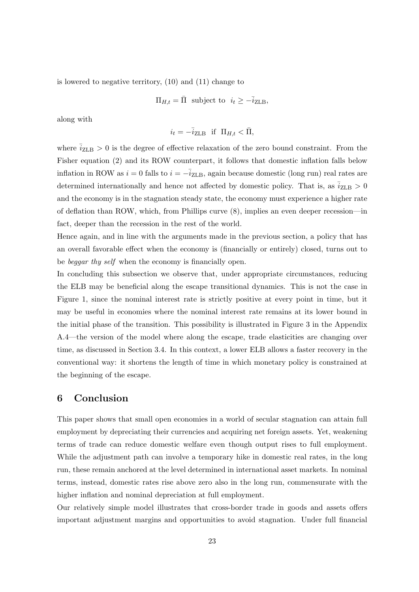is lowered to negative territory, (10) and (11) change to

$$
\Pi_{H,t} = \overline{\Pi}
$$
 subject to  $i_t \geq -\overline{i}_{\text{ZLB}}$ ,

along with

$$
i_t = -\bar{i}_{\text{ZLB}} \quad \text{if} \quad \Pi_{H,t} < \bar{\Pi},
$$

where  $\bar{i}_{\text{ZLB}} > 0$  is the degree of effective relaxation of the zero bound constraint. From the Fisher equation (2) and its ROW counterpart, it follows that domestic inflation falls below inflation in ROW as  $i = 0$  falls to  $i = -\overline{i}_{\text{ZLB}}$ , again because domestic (long run) real rates are determined internationally and hence not affected by domestic policy. That is, as  $\bar{i}_{\text{ZLB}} > 0$ and the economy is in the stagnation steady state, the economy must experience a higher rate of deflation than ROW, which, from Phillips curve (8), implies an even deeper recession—in fact, deeper than the recession in the rest of the world.

Hence again, and in line with the arguments made in the previous section, a policy that has an overall favorable effect when the economy is (financially or entirely) closed, turns out to be *beggar thy self* when the economy is financially open.

In concluding this subsection we observe that, under appropriate circumstances, reducing the ELB may be beneficial along the escape transitional dynamics. This is not the case in Figure 1, since the nominal interest rate is strictly positive at every point in time, but it may be useful in economies where the nominal interest rate remains at its lower bound in the initial phase of the transition. This possibility is illustrated in Figure 3 in the Appendix A.4—the version of the model where along the escape, trade elasticities are changing over time, as discussed in Section 3.4. In this context, a lower ELB allows a faster recovery in the conventional way: it shortens the length of time in which monetary policy is constrained at the beginning of the escape.

### 6 Conclusion

This paper shows that small open economies in a world of secular stagnation can attain full employment by depreciating their currencies and acquiring net foreign assets. Yet, weakening terms of trade can reduce domestic welfare even though output rises to full employment. While the adjustment path can involve a temporary hike in domestic real rates, in the long run, these remain anchored at the level determined in international asset markets. In nominal terms, instead, domestic rates rise above zero also in the long run, commensurate with the higher inflation and nominal depreciation at full employment.

Our relatively simple model illustrates that cross-border trade in goods and assets offers important adjustment margins and opportunities to avoid stagnation. Under full financial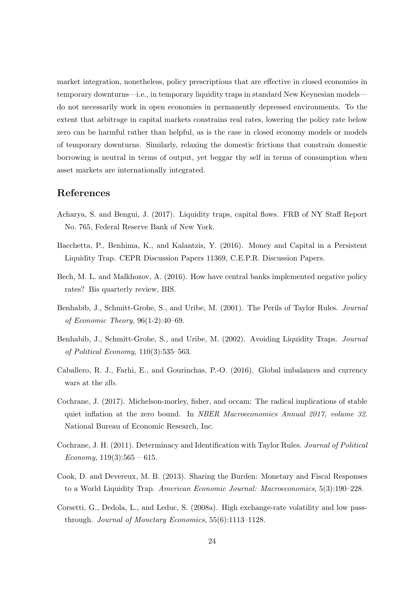market integration, nonetheless, policy prescriptions that are effective in closed economies in temporary downturns—i.e., in temporary liquidity traps in standard New Keynesian models do not necessarily work in open economies in permanently depressed environments. To the extent that arbitrage in capital markets constrains real rates, lowering the policy rate below zero can be harmful rather than helpful, as is the case in closed economy models or models of temporary downturns. Similarly, relaxing the domestic frictions that constrain domestic borrowing is neutral in terms of output, yet beggar thy self in terms of consumption when asset markets are internationally integrated.

### References

- Acharya, S. and Bengui, J. (2017). Liquidity traps, capital flows. FRB of NY Staff Report No. 765, Federal Reserve Bank of New York.
- Bacchetta, P., Benhima, K., and Kalantzis, Y. (2016). Money and Capital in a Persistent Liquidity Trap. CEPR Discussion Papers 11369, C.E.P.R. Discussion Papers.
- Bech, M. L. and Malkhozov, A. (2016). How have central banks implemented negative policy rates? Bis quarterly review, BIS.
- Benhabib, J., Schmitt-Grohe, S., and Uribe, M. (2001). The Perils of Taylor Rules. Journal of Economic Theory, 96(1-2):40–69.
- Benhabib, J., Schmitt-Grohe, S., and Uribe, M. (2002). Avoiding Liquidity Traps. Journal of Political Economy, 110(3):535–563.
- Caballero, R. J., Farhi, E., and Gourinchas, P.-O. (2016). Global imbalances and currency wars at the zlb.
- Cochrane, J. (2017). Michelson-morley, fisher, and occam: The radical implications of stable quiet inflation at the zero bound. In *NBER Macroeconomics Annual 2017, volume 32.* National Bureau of Economic Research, Inc.
- Cochrane, J. H. (2011). Determinacy and Identification with Taylor Rules. Journal of Political Economy,  $119(3):565 - 615$ .
- Cook, D. and Devereux, M. B. (2013). Sharing the Burden: Monetary and Fiscal Responses to a World Liquidity Trap. American Economic Journal: Macroeconomics, 5(3):190–228.
- Corsetti, G., Dedola, L., and Leduc, S. (2008a). High exchange-rate volatility and low passthrough. Journal of Monetary Economics, 55(6):1113–1128.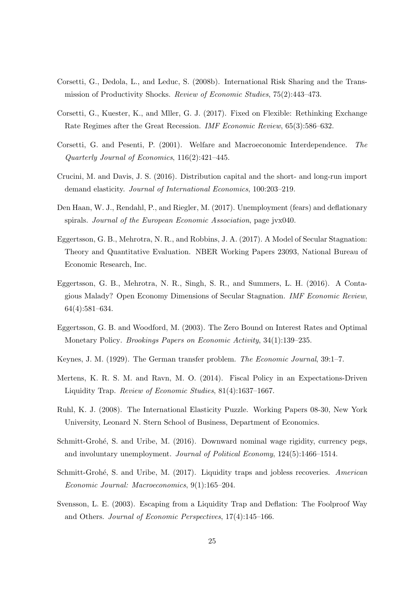- Corsetti, G., Dedola, L., and Leduc, S. (2008b). International Risk Sharing and the Transmission of Productivity Shocks. Review of Economic Studies, 75(2):443–473.
- Corsetti, G., Kuester, K., and Mller, G. J. (2017). Fixed on Flexible: Rethinking Exchange Rate Regimes after the Great Recession. IMF Economic Review, 65(3):586–632.
- Corsetti, G. and Pesenti, P. (2001). Welfare and Macroeconomic Interdependence. The Quarterly Journal of Economics, 116(2):421–445.
- Crucini, M. and Davis, J. S. (2016). Distribution capital and the short- and long-run import demand elasticity. Journal of International Economics, 100:203–219.
- Den Haan, W. J., Rendahl, P., and Riegler, M. (2017). Unemployment (fears) and deflationary spirals. Journal of the European Economic Association, page jvx040.
- Eggertsson, G. B., Mehrotra, N. R., and Robbins, J. A. (2017). A Model of Secular Stagnation: Theory and Quantitative Evaluation. NBER Working Papers 23093, National Bureau of Economic Research, Inc.
- Eggertsson, G. B., Mehrotra, N. R., Singh, S. R., and Summers, L. H. (2016). A Contagious Malady? Open Economy Dimensions of Secular Stagnation. IMF Economic Review, 64(4):581–634.
- Eggertsson, G. B. and Woodford, M. (2003). The Zero Bound on Interest Rates and Optimal Monetary Policy. Brookings Papers on Economic Activity, 34(1):139–235.
- Keynes, J. M. (1929). The German transfer problem. The Economic Journal, 39:1–7.
- Mertens, K. R. S. M. and Ravn, M. O. (2014). Fiscal Policy in an Expectations-Driven Liquidity Trap. Review of Economic Studies, 81(4):1637–1667.
- Ruhl, K. J. (2008). The International Elasticity Puzzle. Working Papers 08-30, New York University, Leonard N. Stern School of Business, Department of Economics.
- Schmitt-Grohé, S. and Uribe, M. (2016). Downward nominal wage rigidity, currency pegs, and involuntary unemployment. Journal of Political Economy, 124(5):1466–1514.
- Schmitt-Grohé, S. and Uribe, M. (2017). Liquidity traps and jobless recoveries. American Economic Journal: Macroeconomics, 9(1):165–204.
- Svensson, L. E. (2003). Escaping from a Liquidity Trap and Deflation: The Foolproof Way and Others. Journal of Economic Perspectives, 17(4):145–166.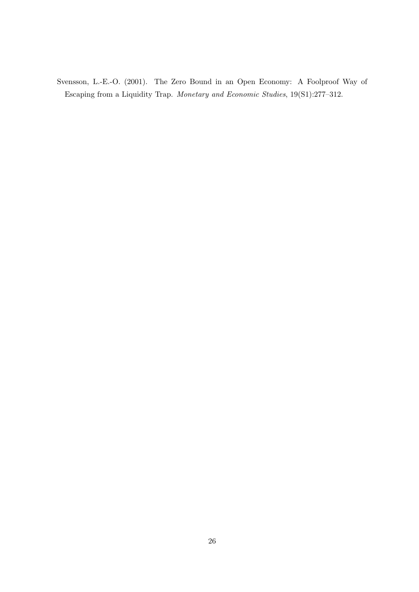Svensson, L.-E.-O. (2001). The Zero Bound in an Open Economy: A Foolproof Way of Escaping from a Liquidity Trap. Monetary and Economic Studies, 19(S1):277–312.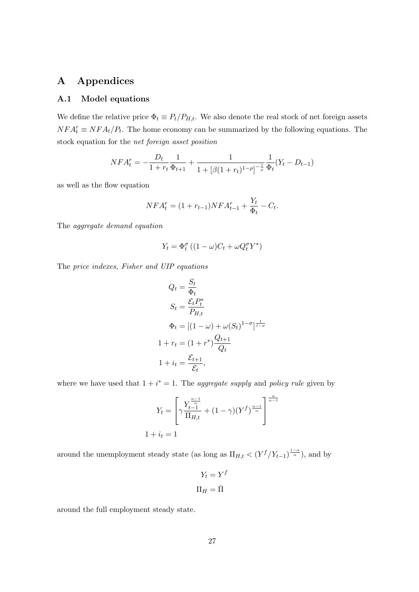## A Appendices

#### A.1 Model equations

We define the relative price  $\Phi_t \equiv P_t/P_{H,t}$ . We also denote the real stock of net foreign assets  $NFA_t^r \equiv NFA_t/P_t$ . The home economy can be summarized by the following equations. The stock equation for the net foreign asset position

$$
NFA_t^r = -\frac{D_t}{1+r_t}\frac{1}{\Phi_{t+1}} + \frac{1}{1+[\beta(1+r_t)^{1-\rho}]^{-\frac{1}{\rho}}}\frac{1}{\Phi_t}(Y_t - D_{t-1})
$$

as well as the flow equation

$$
NFA_t^r = (1 + r_{t-1})NFA_{t-1}^r + \frac{Y_t}{\Phi_t} - C_t.
$$

The aggregate demand equation

$$
Y_t = \Phi_t^{\sigma} \left( (1 - \omega) C_t + \omega Q_t^{\sigma} Y^* \right)
$$

The price indexes, Fisher and UIP equations

$$
Q_t = \frac{S_t}{\Phi_t}
$$
  
\n
$$
S_t = \frac{\mathcal{E}_t P_t^*}{P_{H,t}}
$$
  
\n
$$
\Phi_t = [(1 - \omega) + \omega(S_t)^{1 - \sigma}]^{\frac{1}{1 - \sigma}}
$$
  
\n
$$
1 + r_t = (1 + r^*) \frac{Q_{t+1}}{Q_t}
$$
  
\n
$$
1 + i_t = \frac{\mathcal{E}_{t+1}}{\mathcal{E}_t},
$$

where we have used that  $1 + i^* = 1$ . The *aggregate supply* and *policy rule* given by

$$
Y_t = \left[ \gamma \frac{Y_{t-1}^{\frac{\alpha-1}{\alpha}}}{\Pi_{H,t}} + (1 - \gamma)(Y^f)^{\frac{\alpha-1}{\alpha}} \right]^{\frac{\alpha}{\alpha-1}}
$$
  

$$
1 + i_t = 1
$$

around the unemployment steady state (as long as  $\Pi_{H,t} < (Y^f/Y_{t-1})^{\frac{1-\alpha}{\alpha}}$ ), and by

$$
Y_t = Y^f
$$

$$
\Pi_H = \bar{\Pi}
$$

around the full employment steady state.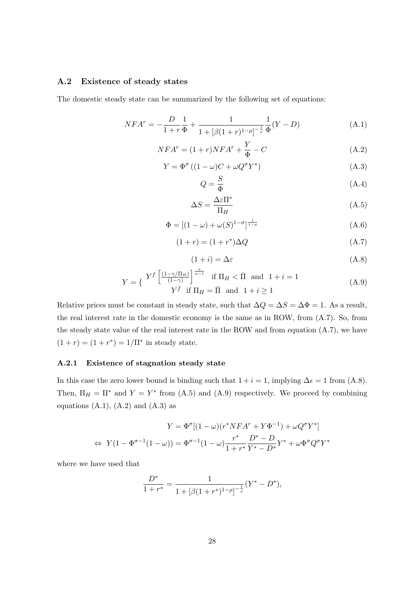#### A.2 Existence of steady states

The domestic steady state can be summarized by the following set of equations:

$$
NFA^{r} = -\frac{D}{1+r}\frac{1}{\Phi} + \frac{1}{1 + [\beta(1+r)^{1-\rho}]^{-\frac{1}{\rho}}}\frac{1}{\Phi}(Y-D)
$$
(A.1)

$$
NFA^r = (1+r)NFA^r + \frac{Y}{\Phi} - C
$$
\n(A.2)

$$
Y = \Phi^{\sigma} \left( (1 - \omega)C + \omega Q^{\sigma} Y^* \right) \tag{A.3}
$$

$$
Q = \frac{S}{\Phi} \tag{A.4}
$$

$$
\Delta S = \frac{\Delta \varepsilon \Pi^*}{\Pi_H} \tag{A.5}
$$

$$
\Phi = \left[ (1 - \omega) + \omega(S)^{1 - \sigma} \right]_{\frac{1}{1 - \sigma}} \tag{A.6}
$$

$$
(1+r) = (1+r^*)\Delta Q \tag{A.7}
$$

$$
(1+i) = \Delta \varepsilon \tag{A.8}
$$

$$
Y = \left\{ \begin{array}{c} Y^f \left[ \frac{(1 - \gamma/\Pi_H)}{(1 - \gamma)} \right]^{\frac{\alpha}{\alpha - 1}} & \text{if } \Pi_H < \bar{\Pi} \text{ and } 1 + i = 1\\ Y^f & \text{if } \Pi_H = \bar{\Pi} \text{ and } 1 + i \ge 1 \end{array} \right. \tag{A.9}
$$

Relative prices must be constant in steady state, such that  $\Delta Q = \Delta S = \Delta \Phi = 1$ . As a result, the real interest rate in the domestic economy is the same as in ROW, from (A.7). So, from the steady state value of the real interest rate in the ROW and from equation (A.7), we have  $(1 + r) = (1 + r^*) = 1/\Pi^*$  in steady state.

#### A.2.1 Existence of stagnation steady state

In this case the zero lower bound is binding such that  $1 + i = 1$ , implying  $\Delta \epsilon = 1$  from (A.8). Then,  $\Pi_H = \Pi^*$  and  $Y = Y^*$  from (A.5) and (A.9) respectively. We proceed by combining equations  $(A.1)$ ,  $(A.2)$  and  $(A.3)$  as

$$
Y = \Phi^{\sigma}[(1-\omega)(r^*NFA^r + Y\Phi^{-1}) + \omega Q^{\sigma}Y^*]
$$
  
\n
$$
\Leftrightarrow Y(1 - \Phi^{\sigma-1}(1-\omega)) = \Phi^{\sigma-1}(1-\omega)\frac{r^*}{1 + r^*}\frac{D^* - D}{Y^* - D^*}Y^* + \omega \Phi^{\sigma}Q^{\sigma}Y^*
$$

where we have used that

$$
\frac{D^*}{1+r^*} = \frac{1}{1+[\beta(1+r^*)^{1-\rho}]^{-\frac{1}{\rho}}} (Y^* - D^*),
$$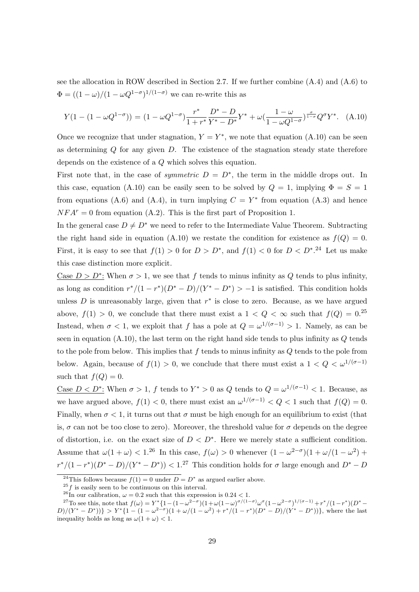see the allocation in ROW described in Section 2.7. If we further combine (A.4) and (A.6) to  $\Phi = ((1 - \omega)/(1 - \omega Q^{1-\sigma})^{1/(1-\sigma)})$  we can re-write this as

$$
Y(1 - (1 - \omega Q^{1-\sigma})) = (1 - \omega Q^{1-\sigma}) \frac{r^*}{1 + r^*} \frac{D^* - D}{Y^* - D^*} Y^* + \omega \left(\frac{1 - \omega}{1 - \omega Q^{1-\sigma}}\right)^{\frac{\sigma}{1-\sigma}} Q^{\sigma} Y^* .
$$
 (A.10)

Once we recognize that under stagnation,  $Y = Y^*$ , we note that equation (A.10) can be seen as determining  $Q$  for any given  $D$ . The existence of the stagnation steady state therefore depends on the existence of a Q which solves this equation.

First note that, in the case of *symmetric*  $D = D^*$ , the term in the middle drops out. In this case, equation (A.10) can be easily seen to be solved by  $Q = 1$ , implying  $\Phi = S = 1$ from equations (A.6) and (A.4), in turn implying  $C = Y^*$  from equation (A.3) and hence  $NFA^r = 0$  from equation (A.2). This is the first part of Proposition 1.

In the general case  $D \neq D^*$  we need to refer to the Intermediate Value Theorem. Subtracting the right hand side in equation (A.10) we restate the condition for existence as  $f(Q) = 0$ . First, it is easy to see that  $f(1) > 0$  for  $D > D^*$ , and  $f(1) < 0$  for  $D < D^{*}.^{24}$  Let us make this case distinction more explicit.

Case  $D > D^*$ : When  $\sigma > 1$ , we see that f tends to minus infinity as Q tends to plus infinity, as long as condition  $r^*/(1-r^*)(D^*-D)/(Y^*-D^*)$  > -1 is satisfied. This condition holds unless  $D$  is unreasonably large, given that  $r^*$  is close to zero. Because, as we have argued above,  $f(1) > 0$ , we conclude that there must exist a  $1 < Q < \infty$  such that  $f(Q) = 0.25$ Instead, when  $\sigma < 1$ , we exploit that f has a pole at  $Q = \omega^{1/(\sigma-1)} > 1$ . Namely, as can be seen in equation  $(A.10)$ , the last term on the right hand side tends to plus infinity as  $Q$  tends to the pole from below. This implies that  $f$  tends to minus infinity as  $Q$  tends to the pole from below. Again, because of  $f(1) > 0$ , we conclude that there must exist a  $1 < Q < \omega^{1/(\sigma-1)}$ such that  $f(Q) = 0$ .

Case  $D < D^*$ : When  $\sigma > 1$ , f tends to  $Y^* > 0$  as Q tends to  $Q = \omega^{1/(\sigma-1)} < 1$ . Because, as we have argued above,  $f(1) < 0$ , there must exist an  $\omega^{1/(\sigma-1)} < Q < 1$  such that  $f(Q) = 0$ . Finally, when  $\sigma < 1$ , it turns out that  $\sigma$  must be high enough for an equilibrium to exist (that is,  $\sigma$  can not be too close to zero). Moreover, the threshold value for  $\sigma$  depends on the degree of distortion, i.e. on the exact size of  $D < D^*$ . Here we merely state a sufficient condition. Assume that  $\omega(1+\omega) < 1^{26}$  In this case,  $f(\omega) > 0$  whenever  $(1 - \omega^{2-\sigma})(1 + \omega/(1 - \omega^2) +$  $r^{*}/(1-r^{*})(D^{*}-D)/(Y^{*}-D^{*})) < 1.^{27}$  This condition holds for  $\sigma$  large enough and  $D^{*}-D$ 

<sup>&</sup>lt;sup>24</sup>This follows because  $f(1) = 0$  under  $D = D^*$  as argued earlier above.

 $^{25}f$  is easily seen to be continuous on this interval.

<sup>&</sup>lt;sup>26</sup>In our calibration,  $\omega = 0.2$  such that this expression is  $0.24 < 1$ .

<sup>&</sup>lt;sup>27</sup>To see this, note that  $f(\omega) = Y^* \{1 - (1 - \omega^{2-\sigma})(1 + \omega(1-\omega)^{\sigma/(1-\sigma)}\omega^{\sigma}(1-\omega^{2-\sigma})^{1/(\sigma-1)} + r^*/(1-r^*)(D^*-\omega^{2-\sigma})(1-\omega^{2-\sigma})(1-\omega^{2-\sigma})(1-\omega^{2-\sigma})(1-\omega^{2-\sigma})(1-\omega^{2-\sigma})(1-\omega^{2-\sigma})(1-\omega^{2-\sigma})(1-\omega^{2-\sigma})(1-\omega^{2-\sigma})(1-\omega^{2-\sigma})(1-\omega^{2-\sigma})(1-\omega^{2-\sigma})(1-\omega^{2-\sigma})(1-\omega^{2-\sigma})(1-\$  $D/(Y^* - D^*))\} > Y^*\{1 - (1 - \omega^{2-\sigma})(1 + \omega/(1 - \omega^2) + r^*/(1 - r^*)(D^* - D)/(Y^* - D^*))\}$ , where the last inequality holds as long as  $\omega(1+\omega) < 1$ .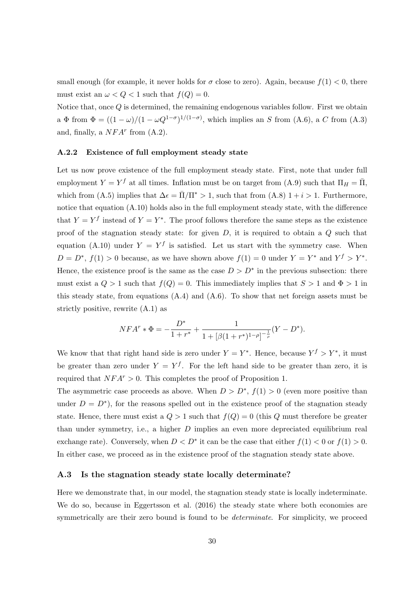small enough (for example, it never holds for  $\sigma$  close to zero). Again, because  $f(1) < 0$ , there must exist an  $\omega < Q < 1$  such that  $f(Q) = 0$ .

Notice that, once Q is determined, the remaining endogenous variables follow. First we obtain a  $\Phi$  from  $\Phi = ((1 - \omega)/(1 - \omega Q^{1-\sigma})^{1/(1-\sigma)})$ , which implies an S from (A.6), a C from (A.3) and, finally, a  $NFA^r$  from  $(A.2)$ .

#### A.2.2 Existence of full employment steady state

Let us now prove existence of the full employment steady state. First, note that under full employment  $Y = Y^f$  at all times. Inflation must be on target from (A.9) such that  $\Pi_H = \overline{\Pi}$ , which from (A.5) implies that  $\Delta \epsilon = \bar{\Pi}/\Pi^* > 1$ , such that from (A.8)  $1 + i > 1$ . Furthermore, notice that equation (A.10) holds also in the full employment steady state, with the difference that  $Y = Y^f$  instead of  $Y = Y^*$ . The proof follows therefore the same steps as the existence proof of the stagnation steady state: for given  $D$ , it is required to obtain a  $Q$  such that equation (A.10) under  $Y = Y^f$  is satisfied. Let us start with the symmetry case. When  $D = D^*, f(1) > 0$  because, as we have shown above  $f(1) = 0$  under  $Y = Y^*$  and  $Y^f > Y^*$ . Hence, the existence proof is the same as the case  $D > D^*$  in the previous subsection: there must exist a  $Q > 1$  such that  $f(Q) = 0$ . This immediately implies that  $S > 1$  and  $\Phi > 1$  in this steady state, from equations (A.4) and (A.6). To show that net foreign assets must be strictly positive, rewrite (A.1) as

$$
NFA^r * \Phi = -\frac{D^*}{1+r^*} + \frac{1}{1+[\beta(1+r^*)^{1-\rho}]^{-\frac{1}{\rho}}}(Y-D^*).
$$

We know that that right hand side is zero under  $Y = Y^*$ . Hence, because  $Y^f > Y^*$ , it must be greater than zero under  $Y = Y<sup>f</sup>$ . For the left hand side to be greater than zero, it is required that  $NFA^r > 0$ . This completes the proof of Proposition 1.

The asymmetric case proceeds as above. When  $D > D^*$ ,  $f(1) > 0$  (even more positive than under  $D = D^*$ ), for the reasons spelled out in the existence proof of the stagnation steady state. Hence, there must exist a  $Q > 1$  such that  $f(Q) = 0$  (this Q must therefore be greater than under symmetry, i.e., a higher  $D$  implies an even more depreciated equilibrium real exchange rate). Conversely, when  $D < D^*$  it can be the case that either  $f(1) < 0$  or  $f(1) > 0$ . In either case, we proceed as in the existence proof of the stagnation steady state above.

#### A.3 Is the stagnation steady state locally determinate?

Here we demonstrate that, in our model, the stagnation steady state is locally indeterminate. We do so, because in Eggertsson et al.  $(2016)$  the steady state where both economies are symmetrically are their zero bound is found to be *determinate*. For simplicity, we proceed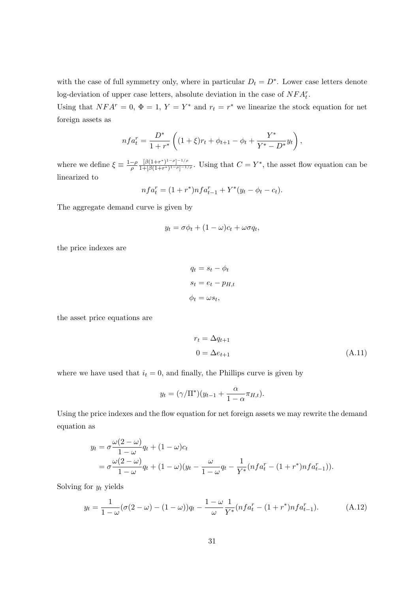with the case of full symmetry only, where in particular  $D_t = D^*$ . Lower case letters denote log-deviation of upper case letters, absolute deviation in the case of  $NFA_t^r$ .

Using that  $NFA^r = 0$ ,  $\Phi = 1$ ,  $Y = Y^*$  and  $r_t = r^*$  we linearize the stock equation for net foreign assets as

$$
nfa_t^r = \frac{D^*}{1+r^*} \left( (1+\xi)r_t + \phi_{t+1} - \phi_t + \frac{Y^*}{Y^*-D^*} y_t \right),
$$

where we define  $\xi \equiv \frac{1-\rho}{\rho}$ ρ  $[\beta(1+r^*)^{1-\rho}]^{-1/\rho}$  $\frac{[\beta(1+r^*)^{1-\rho}]^{-1/\rho}}{1+[\beta(1+r^*)^{1-\rho}]^{-1/\rho}}$ . Using that  $C=Y^*$ , the asset flow equation can be linearized to

$$
nfa_t^r = (1 + r^*)nfa_{t-1}^r + Y^*(y_t - \phi_t - c_t).
$$

The aggregate demand curve is given by

$$
y_t = \sigma \phi_t + (1 - \omega)c_t + \omega \sigma q_t,
$$

the price indexes are

$$
q_t = s_t - \phi_t
$$

$$
s_t = e_t - p_{H,t}
$$

$$
\phi_t = \omega s_t,
$$

the asset price equations are

$$
r_t = \Delta q_{t+1}
$$
  

$$
0 = \Delta e_{t+1}
$$
 (A.11)

where we have used that  $i_t = 0$ , and finally, the Phillips curve is given by

$$
y_t = (\gamma/\Pi^*)(y_{t-1} + \frac{\alpha}{1-\alpha}\pi_{H,t}).
$$

Using the price indexes and the flow equation for net foreign assets we may rewrite the demand equation as

$$
y_t = \sigma \frac{\omega(2-\omega)}{1-\omega} q_t + (1-\omega)c_t
$$
  
=  $\sigma \frac{\omega(2-\omega)}{1-\omega} q_t + (1-\omega)(y_t - \frac{\omega}{1-\omega} q_t - \frac{1}{Y^*} (nf a_t^r - (1+r^*)nf a_{t-1}^r)).$ 

Solving for  $y_t$  yields

$$
y_t = \frac{1}{1 - \omega} (\sigma(2 - \omega) - (1 - \omega))q_t - \frac{1 - \omega}{\omega} \frac{1}{Y^*} (nf a_t^r - (1 + r^*) n f a_{t-1}^r).
$$
 (A.12)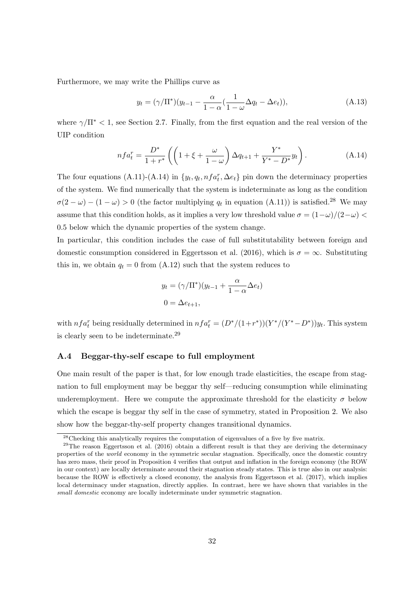Furthermore, we may write the Phillips curve as

$$
y_t = (\gamma/\Pi^*)(y_{t-1} - \frac{\alpha}{1-\alpha}(\frac{1}{1-\omega}\Delta q_t - \Delta e_t)),
$$
\n(A.13)

where  $\gamma/\Pi^*$  < 1, see Section 2.7. Finally, from the first equation and the real version of the UIP condition

$$
nfa_t^r = \frac{D^*}{1+r^*} \left( \left( 1 + \xi + \frac{\omega}{1-\omega} \right) \Delta q_{t+1} + \frac{Y^*}{Y^* - D^*} y_t \right). \tag{A.14}
$$

The four equations  $(A.11)-(A.14)$  in  $\{y_t, q_t, nfa_t^r, \Delta e_t\}$  pin down the determinacy properties of the system. We find numerically that the system is indeterminate as long as the condition  $\sigma(2-\omega) - (1-\omega) > 0$  (the factor multiplying  $q_t$  in equation (A.11)) is satisfied.<sup>28</sup> We may assume that this condition holds, as it implies a very low threshold value  $\sigma = (1 - \omega)/(2 - \omega)$ 0.5 below which the dynamic properties of the system change.

In particular, this condition includes the case of full substitutability between foreign and domestic consumption considered in Eggertsson et al. (2016), which is  $\sigma = \infty$ . Substituting this in, we obtain  $q_t = 0$  from (A.12) such that the system reduces to

$$
y_t = (\gamma/\Pi^*)(y_{t-1} + \frac{\alpha}{1-\alpha}\Delta e_t)
$$
  

$$
0 = \Delta e_{t+1},
$$

with  $nfa_t^r$  being residually determined in  $nfa_t^r = (D^*/(1+r^*)) (Y^*/(Y^*-D^*)) y_t$ . This system is clearly seen to be indeterminate.<sup>29</sup>

#### A.4 Beggar-thy-self escape to full employment

One main result of the paper is that, for low enough trade elasticities, the escape from stagnation to full employment may be beggar thy self—reducing consumption while eliminating underemployment. Here we compute the approximate threshold for the elasticity  $\sigma$  below which the escape is beggar thy self in the case of symmetry, stated in Proposition 2. We also show how the beggar-thy-self property changes transitional dynamics.

<sup>&</sup>lt;sup>28</sup>Checking this analytically requires the computation of eigenvalues of a five by five matrix.

<sup>&</sup>lt;sup>29</sup>The reason Eggertsson et al. (2016) obtain a different result is that they are deriving the determinacy properties of the world economy in the symmetric secular stagnation. Specifically, once the domestic country has zero mass, their proof in Proposition 4 verifies that output and inflation in the foreign economy (the ROW in our context) are locally determinate around their stagnation steady states. This is true also in our analysis: because the ROW is effectively a closed economy, the analysis from Eggertsson et al. (2017), which implies local determinacy under stagnation, directly applies. In contrast, here we have shown that variables in the small domestic economy are locally indeterminate under symmetric stagnation.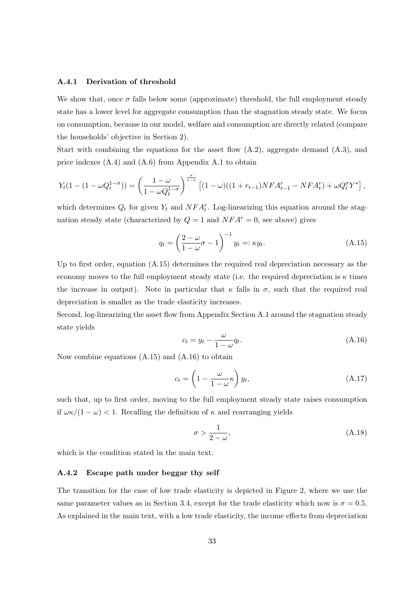#### A.4.1 Derivation of threshold

We show that, once  $\sigma$  falls below some (approximate) threshold, the full employment steady state has a lower level for aggregate consumption than the stagnation steady state. We focus on consumption, because in our model, welfare and consumption are directly related (compare the households' objective in Section 2).

Start with combining the equations for the asset flow  $(A.2)$ , aggregate demand  $(A.3)$ , and price indexes (A.4) and (A.6) from Appendix A.1 to obtain

$$
Y_t(1-(1-\omega Q_t^{1-\sigma})) = \left(\frac{1-\omega}{1-\omega Q_t^{1-\sigma}}\right)^{\frac{\sigma}{1-\sigma}} \left[(1-\omega)((1+r_{t-1})NFA_{t-1}^r - NFA_t^r) + \omega Q_t^{\sigma} Y^*\right],
$$

which determines  $Q_t$  for given  $Y_t$  and  $NFA_t^r$ . Log-linearizing this equation around the stagnation steady state (characterized by  $Q = 1$  and  $NFA<sup>r</sup> = 0$ , see above) gives

$$
q_t = \left(\frac{2-\omega}{1-\omega}\sigma - 1\right)^{-1} y_t =: \kappa y_t.
$$
\n(A.15)

Up to first order, equation (A.15) determines the required real depreciation necessary as the economy moves to the full employment steady state (i.e. the required depreciation is  $\kappa$  times the increase in output). Note in particular that  $\kappa$  falls in  $\sigma$ , such that the required real depreciation is smaller as the trade elasticity increases.

Second, log-linearizing the asset flow from Appendix Section A.1 around the stagnation steady state yields

$$
c_t = y_t - \frac{\omega}{1 - \omega} q_t.
$$
\n(A.16)

Now combine equations (A.15) and (A.16) to obtain

$$
c_t = \left(1 - \frac{\omega}{1 - \omega} \kappa\right) y_t,\tag{A.17}
$$

such that, up to first order, moving to the full employment steady state raises consumption if  $\omega \kappa/(1 - \omega) < 1$ . Recalling the definition of  $\kappa$  and rearranging yields

$$
\sigma > \frac{1}{2 - \omega},\tag{A.18}
$$

which is the condition stated in the main text.

#### A.4.2 Escape path under beggar thy self

The transition for the case of low trade elasticity is depicted in Figure 2, where we use the same parameter values as in Section 3.4, except for the trade elasticity which now is  $\sigma = 0.5$ . As explained in the main text, with a low trade elasticity, the income effects from depreciation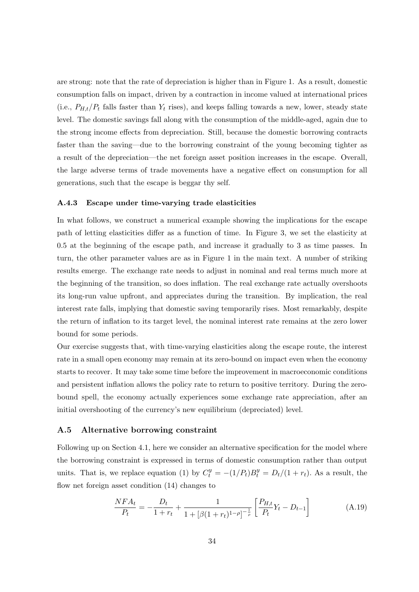are strong: note that the rate of depreciation is higher than in Figure 1. As a result, domestic consumption falls on impact, driven by a contraction in income valued at international prices (i.e.,  $P_{H,t}/P_t$  falls faster than  $Y_t$  rises), and keeps falling towards a new, lower, steady state level. The domestic savings fall along with the consumption of the middle-aged, again due to the strong income effects from depreciation. Still, because the domestic borrowing contracts faster than the saving—due to the borrowing constraint of the young becoming tighter as a result of the depreciation—the net foreign asset position increases in the escape. Overall, the large adverse terms of trade movements have a negative effect on consumption for all generations, such that the escape is beggar thy self.

#### A.4.3 Escape under time-varying trade elasticities

In what follows, we construct a numerical example showing the implications for the escape path of letting elasticities differ as a function of time. In Figure 3, we set the elasticity at 0.5 at the beginning of the escape path, and increase it gradually to 3 as time passes. In turn, the other parameter values are as in Figure 1 in the main text. A number of striking results emerge. The exchange rate needs to adjust in nominal and real terms much more at the beginning of the transition, so does inflation. The real exchange rate actually overshoots its long-run value upfront, and appreciates during the transition. By implication, the real interest rate falls, implying that domestic saving temporarily rises. Most remarkably, despite the return of inflation to its target level, the nominal interest rate remains at the zero lower bound for some periods.

Our exercise suggests that, with time-varying elasticities along the escape route, the interest rate in a small open economy may remain at its zero-bound on impact even when the economy starts to recover. It may take some time before the improvement in macroeconomic conditions and persistent inflation allows the policy rate to return to positive territory. During the zerobound spell, the economy actually experiences some exchange rate appreciation, after an initial overshooting of the currency's new equilibrium (depreciated) level.

#### A.5 Alternative borrowing constraint

Following up on Section 4.1, here we consider an alternative specification for the model where the borrowing constraint is expressed in terms of domestic consumption rather than output units. That is, we replace equation (1) by  $C_t^y = -(1/P_t)B_t^y = D_t/(1+r_t)$ . As a result, the flow net foreign asset condition (14) changes to

$$
\frac{NFA_t}{P_t} = -\frac{D_t}{1+r_t} + \frac{1}{1+[\beta(1+r_t)^{1-\rho}]^{-\frac{1}{\rho}}} \left[ \frac{P_{H,t}}{P_t} Y_t - D_{t-1} \right]
$$
(A.19)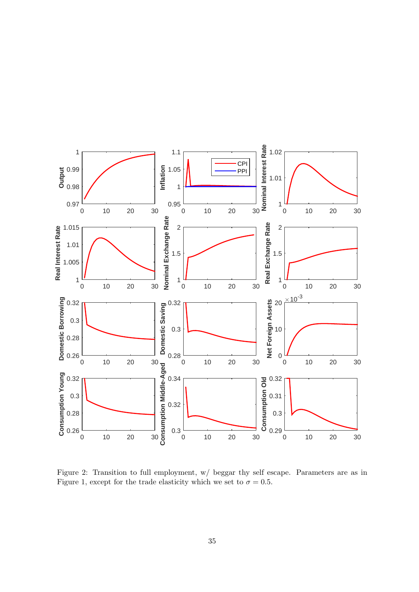

Figure 2: Transition to full employment, w/ beggar thy self escape. Parameters are as in Figure 1, except for the trade elasticity which we set to  $\sigma = 0.5$ .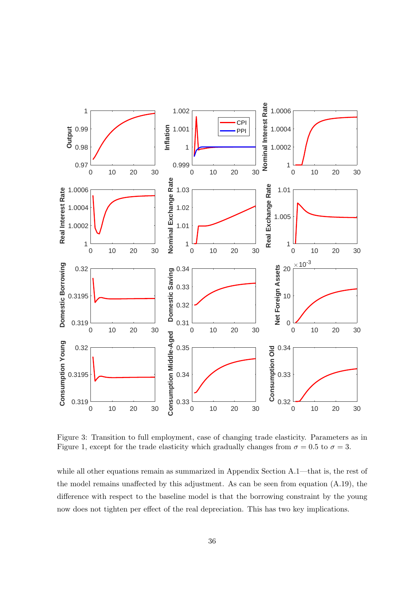

Figure 3: Transition to full employment, case of changing trade elasticity. Parameters as in Figure 1, except for the trade elasticity which gradually changes from  $\sigma = 0.5$  to  $\sigma = 3$ .

while all other equations remain as summarized in Appendix Section A.1—that is, the rest of the model remains unaffected by this adjustment. As can be seen from equation (A.19), the difference with respect to the baseline model is that the borrowing constraint by the young now does not tighten per effect of the real depreciation. This has two key implications.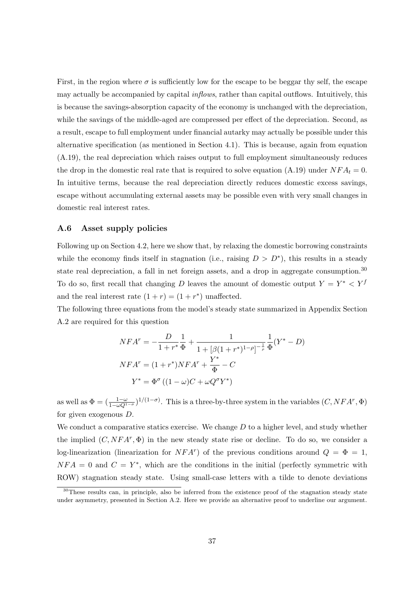First, in the region where  $\sigma$  is sufficiently low for the escape to be beggar thy self, the escape may actually be accompanied by capital  $\text{inflows, rather than capital outflows. Intuitively, this}$ is because the savings-absorption capacity of the economy is unchanged with the depreciation, while the savings of the middle-aged are compressed per effect of the depreciation. Second, as a result, escape to full employment under financial autarky may actually be possible under this alternative specification (as mentioned in Section 4.1). This is because, again from equation (A.19), the real depreciation which raises output to full employment simultaneously reduces the drop in the domestic real rate that is required to solve equation (A.19) under  $NFA_t = 0$ . In intuitive terms, because the real depreciation directly reduces domestic excess savings, escape without accumulating external assets may be possible even with very small changes in domestic real interest rates.

#### A.6 Asset supply policies

Following up on Section 4.2, here we show that, by relaxing the domestic borrowing constraints while the economy finds itself in stagnation (i.e., raising  $D > D^*$ ), this results in a steady state real depreciation, a fall in net foreign assets, and a drop in aggregate consumption.<sup>30</sup> To do so, first recall that changing D leaves the amount of domestic output  $Y = Y^* < Y^f$ and the real interest rate  $(1 + r) = (1 + r^*)$  unaffected.

The following three equations from the model's steady state summarized in Appendix Section A.2 are required for this question

$$
NFA^{r} = -\frac{D}{1+r^{*}}\frac{1}{\Phi} + \frac{1}{1+[\beta(1+r^{*})^{1-\rho}]^{-\frac{1}{\rho}}}\frac{1}{\Phi}(Y^{*}-D)
$$
  

$$
NFA^{r} = (1+r^{*})NFA^{r} + \frac{Y^{*}}{\Phi} - C
$$
  

$$
Y^{*} = \Phi^{\sigma}((1-\omega)C + \omega Q^{\sigma}Y^{*})
$$

as well as  $\Phi = (\frac{1-\omega}{1-\omega Q^{1-\sigma}})^{1/(1-\sigma)}$ . This is a three-by-three system in the variables  $(C, NFA^r, \Phi)$ for given exogenous D.

We conduct a comparative statics exercise. We change  $D$  to a higher level, and study whether the implied  $(C, NFA^r, \Phi)$  in the new steady state rise or decline. To do so, we consider a log-linearization (linearization for  $NFA^r$ ) of the previous conditions around  $Q = \Phi = 1$ ,  $NFA = 0$  and  $C = Y^*$ , which are the conditions in the initial (perfectly symmetric with ROW) stagnation steady state. Using small-case letters with a tilde to denote deviations

<sup>&</sup>lt;sup>30</sup>These results can, in principle, also be inferred from the existence proof of the stagnation steady state under asymmetry, presented in Section A.2. Here we provide an alternative proof to underline our argument.